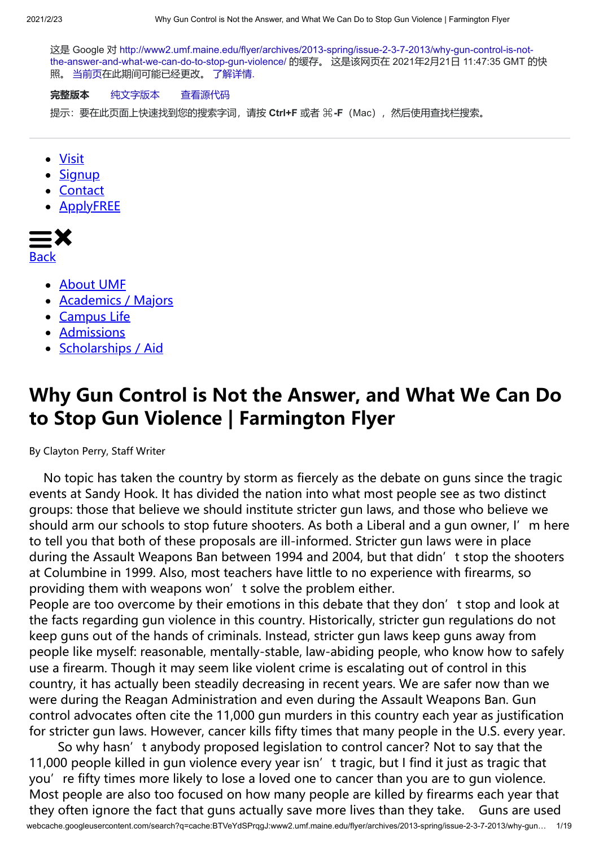这是 Google 对 [http://www2.umf.maine.edu/flyer/archives/2013-spring/issue-2-3-7-2013/why-gun-control-is-not](http://www2.umf.maine.edu/flyer/archives/2013-spring/issue-2-3-7-2013/why-gun-control-is-not-the-answer-and-what-we-can-do-to-stop-gun-violence/)the-answer-and-what-we-can-do-to-stop-gun-violence/ 的缓存。 这是该网页在 2021年2月21日 11:47:35 GMT 的快 照。 [当前页在](http://www2.umf.maine.edu/flyer/archives/2013-spring/issue-2-3-7-2013/why-gun-control-is-not-the-answer-and-what-we-can-do-to-stop-gun-violence/)此期间可能已经更改。 [了解详情](http://support.google.com/websearch/bin/answer.py?hl=zh-CN&p=cached&answer=1687222).

## **完整版本** [纯文字版本](http://webcache.googleusercontent.com/search?q=cache:BTVeYdSPrqgJ:www2.umf.maine.edu/flyer/archives/2013-spring/issue-2-3-7-2013/why-gun-control-is-not-the-answer-and-what-we-can-do-to-stop-gun-violence/&hl=zh-CN&gl=tw&strip=1&vwsrc=0) [查看源代码](http://webcache.googleusercontent.com/search?q=cache:BTVeYdSPrqgJ:www2.umf.maine.edu/flyer/archives/2013-spring/issue-2-3-7-2013/why-gun-control-is-not-the-answer-and-what-we-can-do-to-stop-gun-violence/&hl=zh-CN&gl=tw&strip=0&vwsrc=1)

提示: 要在此页面上快速找到您的搜索字词, 请按 Ctrl+F 或者 米-F (Mac), 然后使用查找栏搜索。

- [Visit](http://www.umf.maine.edu/admission/events/)
- [Signup](http://www.umf.maine.edu/admission/get-info/)
- [Contact](http://www.umf.maine.edu/contact/)
- **[ApplyFREE](http://www.umf.maine.edu/admission/)**



Back

- [About UMF](http://www.umf.maine.edu/about/)
- [Academics / Majors](http://www.umf.maine.edu/majors-academics/)
- [Campus Life](http://www.umf.maine.edu/campus-life/)
- [Admissions](http://www.umf.maine.edu/admission/)
- [Scholarships / Aid](http://www.umf.maine.edu/scholarships-aid/)

## **Why Gun Control is Not the Answer, and What We Can Do to Stop Gun Violence | Farmington Flyer**

By Clayton Perry, Staff Writer

 No topic has taken the country by storm as fiercely as the debate on guns since the tragic events at Sandy Hook. It has divided the nation into what most people see as two distinct groups: those that believe we should institute stricter gun laws, and those who believe we should arm our schools to stop future shooters. As both a Liberal and a gun owner, I'm here to tell you that both of these proposals are ill-informed. Stricter gun laws were in place during the Assault Weapons Ban between 1994 and 2004, but that didn't stop the shooters at Columbine in 1999. Also, most teachers have little to no experience with firearms, so providing them with weapons won't solve the problem either.

People are too overcome by their emotions in this debate that they don't stop and look at the facts regarding gun violence in this country. Historically, stricter gun regulations do not keep guns out of the hands of criminals. Instead, stricter gun laws keep guns away from people like myself: reasonable, mentally-stable, law-abiding people, who know how to safely use a firearm. Though it may seem like violent crime is escalating out of control in this country, it has actually been steadily decreasing in recent years. We are safer now than we were during the Reagan Administration and even during the Assault Weapons Ban. Gun control advocates often cite the 11,000 gun murders in this country each year as justification for stricter gun laws. However, cancer kills fifty times that many people in the U.S. every year.

webcache.googleusercontent.com/search?q=cache:BTVeYdSPrqgJ:www2.umf.maine.edu/flyer/archives/2013-spring/issue-2-3-7-2013/why-gun… 1/19 So why hasn't anybody proposed legislation to control cancer? Not to say that the 11,000 people killed in gun violence every year isn' t tragic, but I find it just as tragic that you're fifty times more likely to lose a loved one to cancer than you are to gun violence. Most people are also too focused on how many people are killed by firearms each year that they often ignore the fact that guns actually save more lives than they take. Guns are used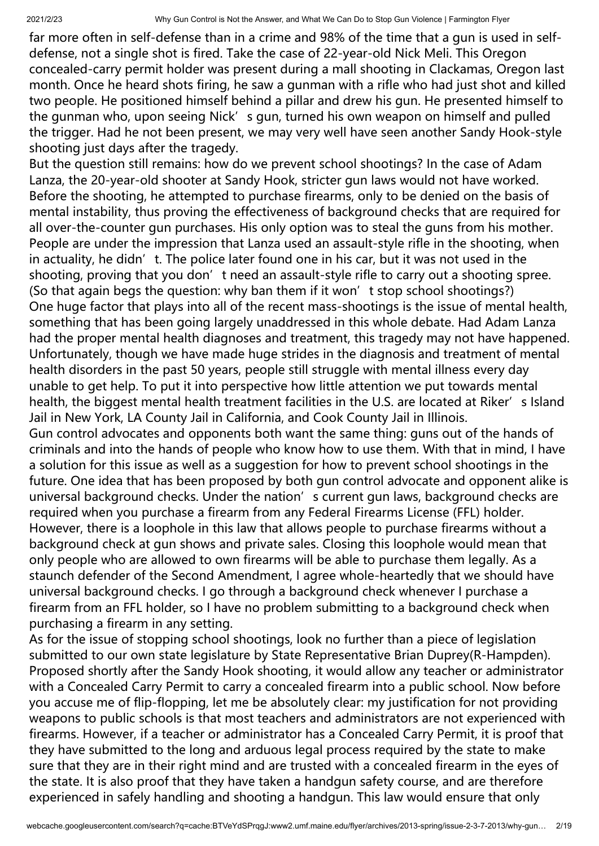far more often in self-defense than in a crime and 98% of the time that a gun is used in selfdefense, not a single shot is fired. Take the case of 22-year-old Nick Meli. This Oregon concealed-carry permit holder was present during a mall shooting in Clackamas, Oregon last month. Once he heard shots firing, he saw a gunman with a rifle who had just shot and killed two people. He positioned himself behind a pillar and drew his gun. He presented himself to the gunman who, upon seeing Nick's gun, turned his own weapon on himself and pulled the trigger. Had he not been present, we may very well have seen another Sandy Hook-style shooting just days after the tragedy.

But the question still remains: how do we prevent school shootings? In the case of Adam Lanza, the 20-year-old shooter at Sandy Hook, stricter gun laws would not have worked. Before the shooting, he attempted to purchase firearms, only to be denied on the basis of mental instability, thus proving the effectiveness of background checks that are required for all over-the-counter gun purchases. His only option was to steal the guns from his mother. People are under the impression that Lanza used an assault-style rifle in the shooting, when in actuality, he didn't. The police later found one in his car, but it was not used in the shooting, proving that you don't need an assault-style rifle to carry out a shooting spree. (So that again begs the question: why ban them if it won't stop school shootings?) One huge factor that plays into all of the recent mass-shootings is the issue of mental health, something that has been going largely unaddressed in this whole debate. Had Adam Lanza had the proper mental health diagnoses and treatment, this tragedy may not have happened. Unfortunately, though we have made huge strides in the diagnosis and treatment of mental health disorders in the past 50 years, people still struggle with mental illness every day unable to get help. To put it into perspective how little attention we put towards mental health, the biggest mental health treatment facilities in the U.S. are located at Riker's Island Jail in New York, LA County Jail in California, and Cook County Jail in Illinois.

Gun control advocates and opponents both want the same thing: guns out of the hands of criminals and into the hands of people who know how to use them. With that in mind, I have a solution for this issue as well as a suggestion for how to prevent school shootings in the future. One idea that has been proposed by both gun control advocate and opponent alike is universal background checks. Under the nation's current gun laws, background checks are required when you purchase a firearm from any Federal Firearms License (FFL) holder. However, there is a loophole in this law that allows people to purchase firearms without a background check at gun shows and private sales. Closing this loophole would mean that only people who are allowed to own firearms will be able to purchase them legally. As a staunch defender of the Second Amendment, I agree whole-heartedly that we should have universal background checks. I go through a background check whenever I purchase a firearm from an FFL holder, so I have no problem submitting to a background check when purchasing a firearm in any setting.

As for the issue of stopping school shootings, look no further than a piece of legislation submitted to our own state legislature by State Representative Brian Duprey(R-Hampden). Proposed shortly after the Sandy Hook shooting, it would allow any teacher or administrator with a Concealed Carry Permit to carry a concealed firearm into a public school. Now before you accuse me of flip-flopping, let me be absolutely clear: my justification for not providing weapons to public schools is that most teachers and administrators are not experienced with firearms. However, if a teacher or administrator has a Concealed Carry Permit, it is proof that they have submitted to the long and arduous legal process required by the state to make sure that they are in their right mind and are trusted with a concealed firearm in the eyes of the state. It is also proof that they have taken a handgun safety course, and are therefore experienced in safely handling and shooting a handgun. This law would ensure that only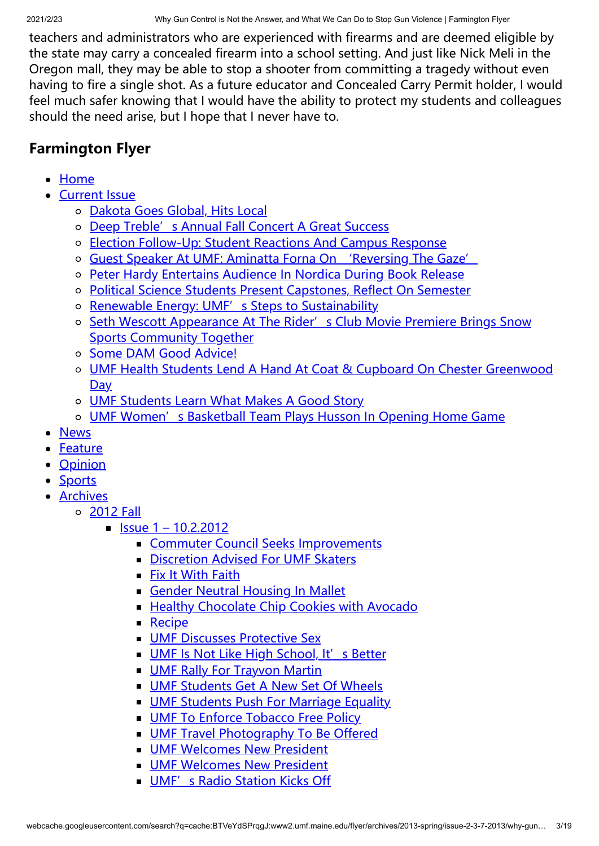teachers and administrators who are experienced with firearms and are deemed eligible by the state may carry a concealed firearm into a school setting. And just like Nick Meli in the Oregon mall, they may be able to stop a shooter from committing a tragedy without even having to fire a single shot. As a future educator and Concealed Carry Permit holder, I would feel much safer knowing that I would have the ability to protect my students and colleagues should the need arise, but I hope that I never have to.

## **Farmington Flyer**

- [Home](http://www2.umf.maine.edu/flyer/)
- [Current Issue](http://www2.umf.maine.edu/flyer/current-issue/)
	- [Dakota Goes Global, Hits Local](http://www2.umf.maine.edu/flyer/current-issue/dakota-goes-global-hits-local/)
	- [Deep Treble's Annual Fall Concert A Great Success](http://www2.umf.maine.edu/flyer/current-issue/deep-trebles-annual-fall-concert-a-great-success/)
	- [Election Follow-Up: Student Reactions And Campus Response](http://www2.umf.maine.edu/flyer/current-issue/election-follow-up-student-reactions-and-campus-response/)
	- [Guest Speaker At UMF: Aminatta Forna On 'Reversing The Gaze'](http://www2.umf.maine.edu/flyer/current-issue/guest-speaker-at-umf-aminatta-forna-on-reversing-the-gaze/)
	- [Peter Hardy Entertains Audience In Nordica During Book Release](http://www2.umf.maine.edu/flyer/current-issue/peter-hardy-entertains-audience-in-nordica/)
	- [Political Science Students Present Capstones, Reflect On Semester](http://www2.umf.maine.edu/flyer/current-issue/political-science-students-present-capstones-reflect-on-semester/)
	- o [Renewable Energy: UMF's Steps to Sustainability](http://www2.umf.maine.edu/flyer/current-issue/renewable-energy-umfs-steps-to-sustainability/)
	- o [Seth Wescott Appearance At The Rider's Club Movie Premiere Brings Snow](http://www2.umf.maine.edu/flyer/current-issue/seth-wescott-appearance-at-the-riders-club-movie-premiere-brings-snow-sports-community-together/) Sports Community Together
	- o [Some DAM Good Advice!](http://www2.umf.maine.edu/flyer/current-issue/some-dam-good-advice/)
	- [UMF Health Students Lend A Hand At Coat & Cupboard On Chester Greenwood](http://www2.umf.maine.edu/flyer/current-issue/umf-health-students-lend-a-hand-at-coat-cupboard-on-chester-greenwood-day/) Day
	- o **[UMF Students Learn What Makes A Good Story](http://www2.umf.maine.edu/flyer/current-issue/umf-students-learn-what-makes-a-good-story/)**
	- o [UMF Women's Basketball Team Plays Husson In Opening Home Game](http://www2.umf.maine.edu/flyer/current-issue/umf-womens-basketball-team-plays-husson-in-opening-home-game/)
- [News](http://www2.umf.maine.edu/flyer/news/)  $\bullet$
- [Feature](http://www2.umf.maine.edu/flyer/feature/)
- **[Opinion](http://www2.umf.maine.edu/flyer/opinion/)**
- [Sports](http://www2.umf.maine.edu/flyer/sports/)
- [Archives](http://www2.umf.maine.edu/flyer/archives/)
	- [2012 Fall](http://www2.umf.maine.edu/flyer/archives/2012-fall/)
		- $\blacksquare$  [Issue 1 10.2.2012](http://www2.umf.maine.edu/flyer/archives/2012-fall/issue-1-10-2-2012/)
			- [Commuter Council Seeks Improvements](http://www2.umf.maine.edu/flyer/archives/2012-fall/issue-1-10-2-2012/commuter-council-seeks-improvements/)
			- [Discretion Advised For UMF Skaters](http://www2.umf.maine.edu/flyer/archives/2012-fall/issue-1-10-2-2012/discretion-advised-for-umf-skaters/)
			- **[Fix It With Faith](http://www2.umf.maine.edu/flyer/archives/2012-fall/issue-1-10-2-2012/fix-it-with-faith/)**
			- **[Gender Neutral Housing In Mallet](http://www2.umf.maine.edu/flyer/archives/2012-fall/issue-1-10-2-2012/gender-neutral-housing-in-mallet/)**
			- **[Healthy Chocolate Chip Cookies with Avocado](http://www2.umf.maine.edu/flyer/archives/2012-fall/issue-1-10-2-2012/healthy-chocolate-chip-cookies-with-avocado/)**
			- **[Recipe](http://www2.umf.maine.edu/flyer/archives/2012-fall/issue-1-10-2-2012/recipe/)**
			- **[UMF Discusses Protective Sex](http://www2.umf.maine.edu/flyer/archives/2012-fall/issue-1-10-2-2012/umf-discusses-protective-sex/)**
			- **[UMF Is Not Like High School, It's Better](http://www2.umf.maine.edu/flyer/archives/2012-fall/issue-1-10-2-2012/umf-is-not-like-high-school-its-better/)**
			- **UMF Rally For Trayyon Martin**
			- **[UMF Students Get A New Set Of Wheels](http://www2.umf.maine.edu/flyer/archives/2012-fall/issue-1-10-2-2012/umf-students-get-a-new-set-of-wheels/)**
			- **[UMF Students Push For Marriage Equality](http://www2.umf.maine.edu/flyer/archives/2012-fall/issue-1-10-2-2012/umf-students-push-for-marriage-equality/)**
			- **[UMF To Enforce Tobacco Free Policy](http://www2.umf.maine.edu/flyer/archives/2012-fall/issue-1-10-2-2012/umf-to-enforce-tobacco-free-policy/)**
			- **[UMF Travel Photography To Be Offered](http://www2.umf.maine.edu/flyer/archives/2012-fall/issue-1-10-2-2012/umf-travel-photography-to-be-offered/)**
			- **[UMF Welcomes New President](http://www2.umf.maine.edu/flyer/archives/2012-fall/issue-1-10-2-2012/umf-welcomes-new-president-2/)**
			- **[UMF Welcomes New President](http://www2.umf.maine.edu/flyer/archives/2012-fall/issue-1-10-2-2012/umf-welcomes-new-president/)**
			- **UMF'**s Radio Station Kicks Off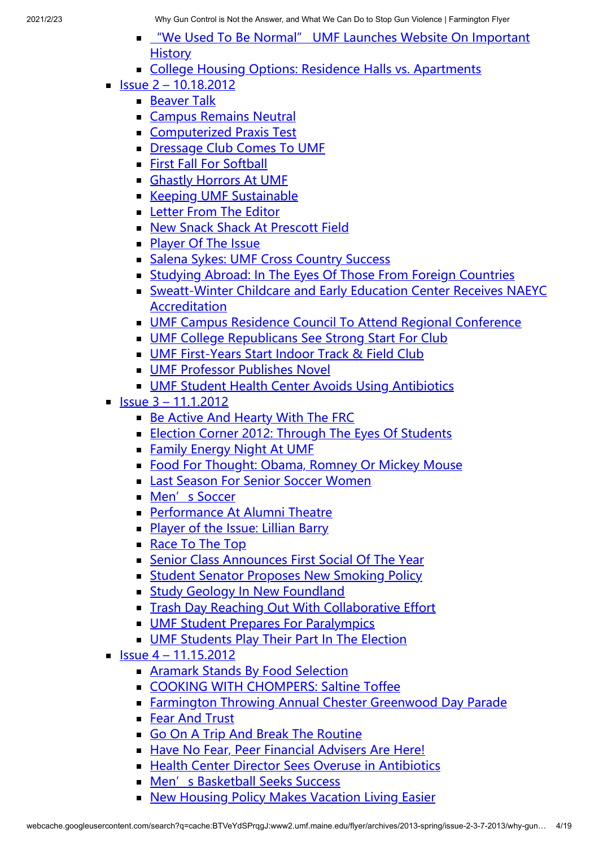- **UME We Used To Be Normal" UMF Launches Website On Important History**
- [College Housing Options: Residence Halls vs. Apartments](http://www2.umf.maine.edu/flyer/archives/2012-fall/issue-1-10-2-2012/college-housing-options-residence-halls-vs-apartments/)
- $\blacksquare$  [Issue 2 10.18.2012](http://www2.umf.maine.edu/flyer/archives/2012-fall/issue-2-10-18-2012/)
	- [Beaver Talk](http://www2.umf.maine.edu/flyer/archives/2012-fall/issue-2-10-18-2012/beaver-talk/)
	- [Campus Remains Neutral](http://www2.umf.maine.edu/flyer/archives/2012-fall/issue-2-10-18-2012/campus-remains-neutral/)
	- [Computerized Praxis Test](http://www2.umf.maine.edu/flyer/archives/2012-fall/issue-2-10-18-2012/computerized-praxis-test/)
	- **[Dressage Club Comes To UMF](http://www2.umf.maine.edu/flyer/archives/2012-fall/issue-2-10-18-2012/dressage-club-comes-to-umf/)**
	- **[First Fall For Softball](http://www2.umf.maine.edu/flyer/archives/2012-fall/issue-2-10-18-2012/first-fall-for-softball/)**
	- **[Ghastly Horrors At UMF](http://www2.umf.maine.edu/flyer/archives/2012-fall/issue-2-10-18-2012/ghastly-horrors-at-umf/)**
	- **[Keeping UMF Sustainable](http://www2.umf.maine.edu/flyer/archives/2012-fall/issue-2-10-18-2012/keeping-umf-sustainable/)**
	- **[Letter From The Editor](http://www2.umf.maine.edu/flyer/archives/2012-fall/issue-2-10-18-2012/letter-from-the-editor/)**
	- **[New Snack Shack At Prescott Field](http://www2.umf.maine.edu/flyer/archives/2012-fall/issue-2-10-18-2012/new-snack-shack-at-prescott-field/)**
	- **[Player Of The Issue](http://www2.umf.maine.edu/flyer/archives/2012-fall/issue-2-10-18-2012/player-of-the-issue/)**
	- **[Salena Sykes: UMF Cross Country Success](http://www2.umf.maine.edu/flyer/archives/2012-fall/issue-2-10-18-2012/salena-sykes-umf-cross-country-success/)**
	- [Studying Abroad: In The Eyes Of Those From Foreign Countries](http://www2.umf.maine.edu/flyer/archives/2012-fall/issue-2-10-18-2012/studying-abroad-in-the-eyes-of-those-from-foreign-countries/)
	- [Sweatt-Winter Childcare and Early Education Center Receives NAEYC](http://www2.umf.maine.edu/flyer/archives/2012-fall/issue-2-10-18-2012/sweatt-winter-childcare-and-early-education-center-receives-naeyc-accreditation/) Accreditation
	- [UMF Campus Residence Council To Attend Regional Conference](http://www2.umf.maine.edu/flyer/archives/2012-fall/issue-2-10-18-2012/umf-campus-residence-council-to-attend-regional-conference/)
	- **[UMF College Republicans See Strong Start For Club](http://www2.umf.maine.edu/flyer/archives/2012-fall/issue-2-10-18-2012/umf-college-republicans-see-strong-start-for-club/)**
	- **[UMF First-Years Start Indoor Track & Field Club](http://www2.umf.maine.edu/flyer/archives/2012-fall/issue-2-10-18-2012/umf-first-years-start-indoor-track-field-club/)**
	- **[UMF Professor Publishes Novel](http://www2.umf.maine.edu/flyer/archives/2012-fall/issue-2-10-18-2012/umf-professor-publishes-novel/)**
	- **[UMF Student Health Center Avoids Using Antibiotics](http://www2.umf.maine.edu/flyer/archives/2012-fall/issue-2-10-18-2012/umf-student-health-center-avoids-using-antibiotics/)**
- $\blacksquare$  [Issue 3 11.1.2012](http://www2.umf.maine.edu/flyer/archives/2012-fall/issue-3-11-1-2012/)
	- **[Be Active And Hearty With The FRC](http://www2.umf.maine.edu/flyer/archives/2012-fall/issue-3-11-1-2012/be-active-and-hearty-with-the-frc/)**
	- **[Election Corner 2012: Through The Eyes Of Students](http://www2.umf.maine.edu/flyer/archives/2012-fall/issue-3-11-1-2012/election-corner-2012-through-the-eyes-of-students/)**
	- **[Family Energy Night At UMF](http://www2.umf.maine.edu/flyer/archives/2012-fall/issue-3-11-1-2012/family-energy-night-at-umf/)**
	- [Food For Thought: Obama, Romney Or Mickey Mouse](http://www2.umf.maine.edu/flyer/archives/2012-fall/issue-3-11-1-2012/food-for-thought-obama-romney-or-mickey-mouse/)
	- **[Last Season For Senior Soccer Women](http://www2.umf.maine.edu/flyer/archives/2012-fall/issue-3-11-1-2012/last-season-for-senior-soccer-women/)**
	- **[Men's Soccer](http://www2.umf.maine.edu/flyer/archives/2012-fall/issue-3-11-1-2012/mens-soccer/)**
	- [Performance At Alumni Theatre](http://www2.umf.maine.edu/flyer/archives/2012-fall/issue-3-11-1-2012/performance-at-alumni-theatre/)
	- [Player of the Issue: Lillian Barry](http://www2.umf.maine.edu/flyer/archives/2012-fall/issue-3-11-1-2012/player-of-the-issue-lillian-barry/)
	- [Race To The Top](http://www2.umf.maine.edu/flyer/archives/2012-fall/issue-3-11-1-2012/race-to-the-top/)
	- [Senior Class Announces First Social Of The Year](http://www2.umf.maine.edu/flyer/archives/2012-fall/issue-3-11-1-2012/senior-class-announces-first-social-of-the-year/)
	- **[Student Senator Proposes New Smoking Policy](http://www2.umf.maine.edu/flyer/archives/2012-fall/issue-3-11-1-2012/student-senator-proposes-new-smoking-policy/)**
	- **[Study Geology In New Foundland](http://www2.umf.maine.edu/flyer/archives/2012-fall/issue-3-11-1-2012/study-geology-in-new-foundland/)**
	- **[Trash Day Reaching Out With Collaborative Effort](http://www2.umf.maine.edu/flyer/archives/2012-fall/issue-3-11-1-2012/trash-day-reaching-out-with-collaborative-effort/)**
	- **[UMF Student Prepares For Paralympics](http://www2.umf.maine.edu/flyer/archives/2012-fall/issue-3-11-1-2012/umf-student-prepares-for-paralympics/)**
	- **[UMF Students Play Their Part In The Election](http://www2.umf.maine.edu/flyer/archives/2012-fall/issue-3-11-1-2012/umf-students-play-their-part-in-the-election/)**
- $\blacksquare$  [Issue 4 11.15.2012](http://www2.umf.maine.edu/flyer/archives/2012-fall/issue-4-11-15-2012/)
	- **[Aramark Stands By Food Selection](http://www2.umf.maine.edu/flyer/archives/2012-fall/issue-4-11-15-2012/aramark-stands-by-food-selection/)**
	- [COOKING WITH CHOMPERS: Saltine Toffee](http://www2.umf.maine.edu/flyer/archives/2012-fall/issue-4-11-15-2012/cooking-with-chompers-saltine-toffee/)
	- **[Farmington Throwing Annual Chester Greenwood Day Parade](http://www2.umf.maine.edu/flyer/archives/2012-fall/issue-4-11-15-2012/farmington-throwing-annual-chester-greenwood-day-parade/)**
	- [Fear And Trust](http://www2.umf.maine.edu/flyer/archives/2012-fall/issue-4-11-15-2012/fear-and-trust/)
	- [Go On A Trip And Break The Routine](http://www2.umf.maine.edu/flyer/archives/2012-fall/issue-4-11-15-2012/go-on-a-trip-and-break-the-routine/)
	- [Have No Fear, Peer Financial Advisers Are Here!](http://www2.umf.maine.edu/flyer/archives/2012-fall/issue-4-11-15-2012/have-no-fear-peer-financial-advisers-are-here/)
	- [Health Center Director Sees Overuse in Antibiotics](http://www2.umf.maine.edu/flyer/archives/2012-fall/issue-4-11-15-2012/health-center-director-sees-overuse-in-antibiotics/)
	- **[Men's Basketball Seeks Success](http://www2.umf.maine.edu/flyer/archives/2012-fall/issue-4-11-15-2012/mens-basketball-seeks-success/)**
	- **[New Housing Policy Makes Vacation Living Easier](http://www2.umf.maine.edu/flyer/archives/2012-fall/issue-4-11-15-2012/new-housing-policy-makes-vacation-living-easier/)**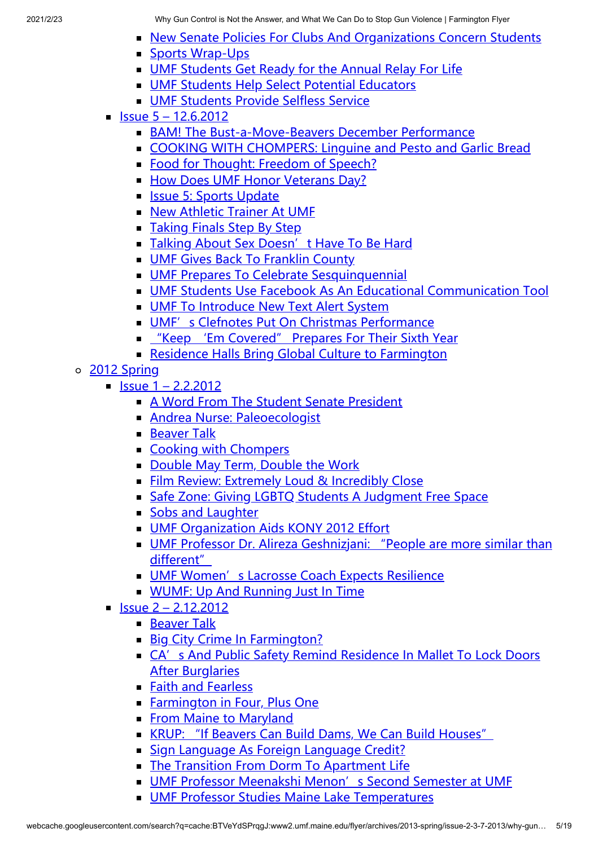- **[New Senate Policies For Clubs And Organizations Concern Students](http://www2.umf.maine.edu/flyer/archives/2012-fall/issue-4-11-15-2012/new-senate-policies-for-clubs-and-organizations-concern-students/)**
- [Sports Wrap-Ups](http://www2.umf.maine.edu/flyer/archives/2012-fall/issue-4-11-15-2012/sports-wrap-ups/)
- [UMF Students Get Ready for the Annual Relay For Life](http://www2.umf.maine.edu/flyer/archives/2012-fall/issue-4-11-15-2012/umf-students-get-ready-for-the-annual-relay-for-life/)
- **[UMF Students Help Select Potential Educators](http://www2.umf.maine.edu/flyer/archives/2012-fall/issue-4-11-15-2012/umf-students-help-select-potential-educators/)**
- **[UMF Students Provide Selfless Service](http://www2.umf.maine.edu/flyer/archives/2012-fall/issue-4-11-15-2012/umf-students-provide-selfless-service/)**
- $\blacksquare$  [Issue 5 12.6.2012](http://www2.umf.maine.edu/flyer/archives/2012-fall/issue-5-12-6-2012/)
	- [BAM! The Bust-a-Move-Beavers December Performance](http://www2.umf.maine.edu/flyer/archives/2012-fall/issue-5-12-6-2012/1294-2/)
	- [COOKING WITH CHOMPERS: Linguine and Pesto and Garlic Bread](http://www2.umf.maine.edu/flyer/archives/2012-fall/issue-5-12-6-2012/cooking-with-chompers-linguine-and-pesto-and-garlic-bread/)
	- [Food for Thought: Freedom of Speech?](http://www2.umf.maine.edu/flyer/archives/2012-fall/issue-5-12-6-2012/1288-2/)
	- [How Does UMF Honor Veterans Day?](http://www2.umf.maine.edu/flyer/archives/2012-fall/issue-5-12-6-2012/how-does-umf-honor-veterans-day/)
	- **[Issue 5: Sports Update](http://www2.umf.maine.edu/flyer/archives/2012-fall/issue-5-12-6-2012/issue-5-sports-update/)**
	- **[New Athletic Trainer At UMF](http://www2.umf.maine.edu/flyer/archives/2012-fall/issue-5-12-6-2012/new-athletic-trainer-at-umf/)**
	- **[Taking Finals Step By Step](http://www2.umf.maine.edu/flyer/archives/2012-fall/issue-5-12-6-2012/taking-finals-step-by-step/)**
	- I [Talking About Sex Doesn't Have To Be Hard](http://www2.umf.maine.edu/flyer/archives/2012-fall/issue-5-12-6-2012/talking-about-sex-doesnt-have-to-be-hard/)
	- **[UMF Gives Back To Franklin County](http://www2.umf.maine.edu/flyer/archives/2012-fall/issue-5-12-6-2012/umf-gives-back-to-franklin-county/)**
	- **[UMF Prepares To Celebrate Sesquinquennial](http://www2.umf.maine.edu/flyer/archives/2012-fall/issue-5-12-6-2012/umf-prepares-to-celebrate-sesquinquennial/)**
	- [UMF Students Use Facebook As An Educational Communication Tool](http://www2.umf.maine.edu/flyer/archives/2012-fall/issue-5-12-6-2012/umf-students-use-facebook-as-an-educational-communication-tool/)
	- [UMF To Introduce New Text Alert System](http://www2.umf.maine.edu/flyer/archives/2012-fall/issue-5-12-6-2012/umf-to-introduce-new-text-alert-system/)
	- [UMF's Clefnotes Put On Christmas Performance](http://www2.umf.maine.edu/flyer/archives/2012-fall/issue-5-12-6-2012/umfs-clefnotes-put-on-christmas-performance/)
	- ["Keep 'Em Covered" Prepares For Their Sixth Year](http://www2.umf.maine.edu/flyer/archives/2012-fall/issue-5-12-6-2012/keep-em-covered-prepares-for-their-sixth-year/)
	- **[Residence Halls Bring Global Culture to Farmington](http://www2.umf.maine.edu/flyer/archives/2012-fall/issue-5-12-6-2012/%ef%bb%bfresidence-halls-bring-global-culture-to-farmington/)**
- o [2012 Spring](http://www2.umf.maine.edu/flyer/archives/2012-spring/)
	- $\blacksquare$  [Issue 1 2.2.2012](http://www2.umf.maine.edu/flyer/archives/2012-spring/issue-1-2-2-2012/)
		- **[A Word From The Student Senate President](http://www2.umf.maine.edu/flyer/archives/2012-spring/issue-1-2-2-2012/a-word-from-the-student-senate-president/)**
		- **[Andrea Nurse: Paleoecologist](http://www2.umf.maine.edu/flyer/archives/2012-spring/issue-1-2-2-2012/andrea-nurse-paleoecologist/)**
		- **[Beaver Talk](http://www2.umf.maine.edu/flyer/archives/2012-spring/issue-1-2-2-2012/beaver-talk-02-02-2012/)**
		- [Cooking with Chompers](http://www2.umf.maine.edu/flyer/archives/2012-spring/issue-1-2-2-2012/cooking-with-chompers/)
		- [Double May Term, Double the Work](http://www2.umf.maine.edu/flyer/archives/2012-spring/issue-1-2-2-2012/double-may-term-double-the-work/)
		- **[Film Review: Extremely Loud & Incredibly Close](http://www2.umf.maine.edu/flyer/archives/2012-spring/issue-1-2-2-2012/film-review-extremely-loud-incredibly-close/)**
		- [Safe Zone: Giving LGBTQ Students A Judgment Free Space](http://www2.umf.maine.edu/flyer/archives/2012-spring/issue-1-2-2-2012/safe-zone-giving-lgbtq-students-a-judgment-free-space/)
		- [Sobs and Laughter](http://www2.umf.maine.edu/flyer/archives/2012-spring/issue-1-2-2-2012/sobs-and-laughter-03-16-2012/)
		- **[UMF Organization Aids KONY 2012 Effort](http://www2.umf.maine.edu/flyer/archives/2012-spring/issue-1-2-2-2012/umf-organization-aids-kony-2012-effort/)**
		- [UMF Professor Dr. Alireza Geshnizjani: "People are more similar than](http://www2.umf.maine.edu/flyer/archives/2012-spring/issue-1-2-2-2012/umf-professor-dr-alireza-geshnizjani-people-are-more-similar-than-different/) different"
		- **[UMF Women's Lacrosse Coach Expects Resilience](http://www2.umf.maine.edu/flyer/archives/2012-spring/issue-1-2-2-2012/umf-womens-lacrosse-coach-expects-resilience/)**
		- [WUMF: Up And Running Just In Time](http://www2.umf.maine.edu/flyer/archives/2012-spring/issue-1-2-2-2012/wumf-up-and-running-just-in-time/)
	- $\blacksquare$  [Issue 2 2.12.2012](http://www2.umf.maine.edu/flyer/archives/2012-spring/issue-4-2-12-2012/)
		- [Beaver Talk](http://www2.umf.maine.edu/flyer/archives/2012-spring/issue-4-2-12-2012/beaver-talk/)
		- [Big City Crime In Farmington?](http://www2.umf.maine.edu/flyer/archives/2012-spring/issue-4-2-12-2012/big-city-crime-in-farmington/)
		- [CA's And Public Safety Remind Residence In Mallet To Lock Doors](http://www2.umf.maine.edu/flyer/archives/2012-spring/issue-4-2-12-2012/cas-and-public-safety-remind-residence-in-mallet-to-lock-doors-after-burglaries/) After Burglaries
		- [Faith and Fearless](http://www2.umf.maine.edu/flyer/archives/2012-spring/issue-4-2-12-2012/faith-and-fearless-02-16-2012/)
		- **[Farmington in Four, Plus One](http://www2.umf.maine.edu/flyer/archives/2012-spring/issue-4-2-12-2012/farmington-in-four-plus-one/)**
		- **[From Maine to Maryland](http://www2.umf.maine.edu/flyer/archives/2012-spring/issue-4-2-12-2012/from-maine-to-maryland/)**
		- [KRUP: "If Beavers Can Build Dams, We Can Build Houses"](http://www2.umf.maine.edu/flyer/archives/2012-spring/issue-4-2-12-2012/krup-if-beavers-can-build-dams-we-can-build-houses/)
		- [Sign Language As Foreign Language Credit?](http://www2.umf.maine.edu/flyer/archives/2012-spring/issue-4-2-12-2012/sign-language-as-foreign-language-credit/)
		- **[The Transition From Dorm To Apartment Life](http://www2.umf.maine.edu/flyer/archives/2012-spring/issue-4-2-12-2012/the-transition-from-dorm-to-apartment-life/)**
		- **[UMF Professor Meenakshi Menon's Second Semester at UMF](http://www2.umf.maine.edu/flyer/archives/2012-spring/issue-4-2-12-2012/umf-professor-meenakshi-menons-second-semester-at-umf/)**
		- **[UMF Professor Studies Maine Lake Temperatures](http://www2.umf.maine.edu/flyer/archives/2012-spring/issue-4-2-12-2012/umf-professor-studies-maine-lake-temperatures/)**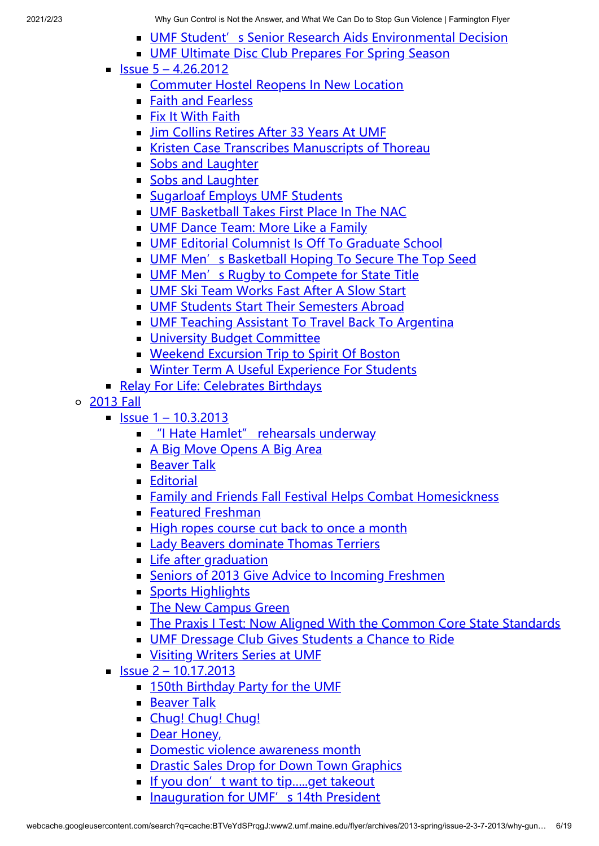- **[UMF Student's Senior Research Aids Environmental Decision](http://www2.umf.maine.edu/flyer/archives/2012-spring/issue-4-2-12-2012/umf-students-senior-research-aids-environmental-decision/)**
- **[UMF Ultimate Disc Club Prepares For Spring Season](http://www2.umf.maine.edu/flyer/archives/2012-spring/issue-4-2-12-2012/umf-ultimate-disc-club-prepares-for-spring-season/)**
- $\blacksquare$  [Issue 5 4.26.2012](http://www2.umf.maine.edu/flyer/archives/2012-spring/issue-5-4-26-2012/)
	- [Commuter Hostel Reopens In New Location](http://www2.umf.maine.edu/flyer/archives/2012-spring/issue-5-4-26-2012/commuter-hostel-reopens-in-new-location/)
	- [Faith and Fearless](http://www2.umf.maine.edu/flyer/archives/2012-spring/issue-5-4-26-2012/faith-and-fearless/)
	- **[Fix It With Faith](http://www2.umf.maine.edu/flyer/archives/2012-spring/issue-5-4-26-2012/fix-it-with-faith/)**
	- I Jim Collins Retires After 33 Years At UME
	- **[Kristen Case Transcribes Manuscripts of Thoreau](http://www2.umf.maine.edu/flyer/archives/2012-spring/issue-5-4-26-2012/kristen-case-transcribes-manuscripts-of-thoreau/)**
	- [Sobs and Laughter](http://www2.umf.maine.edu/flyer/archives/2012-spring/issue-5-4-26-2012/sobs-laughter/)
	- [Sobs and Laughter](http://www2.umf.maine.edu/flyer/archives/2012-spring/issue-5-4-26-2012/sobs-and-laughter/)
	- **[Sugarloaf Employs UMF Students](http://www2.umf.maine.edu/flyer/archives/2012-spring/issue-5-4-26-2012/sugarloaf-employs-umf-students/)**
	- **[UMF Basketball Takes First Place In The NAC](http://www2.umf.maine.edu/flyer/archives/2012-spring/issue-5-4-26-2012/umf-basketball-takes-first-place-in-the-nac/)**
	- **[UMF Dance Team: More Like a Family](http://www2.umf.maine.edu/flyer/archives/2012-spring/issue-5-4-26-2012/umf-dance-team-more-like-a-family/)**
	- [UMF Editorial Columnist Is Off To Graduate School](http://www2.umf.maine.edu/flyer/archives/2012-spring/issue-5-4-26-2012/umf-editorial-columnist-is-off-to-graduate-school/)
	- **[UMF Men's Basketball Hoping To Secure The Top Seed](http://www2.umf.maine.edu/flyer/archives/2012-spring/issue-5-4-26-2012/umf-mens-basketball-hoping-to-secure-the-top-seed/)**
	- [UMF Men's Rugby to Compete for State Title](http://www2.umf.maine.edu/flyer/archives/2012-spring/issue-5-4-26-2012/umf-mens-rugby-to-compete-for-state-title/)
	- **[UMF Ski Team Works Fast After A Slow Start](http://www2.umf.maine.edu/flyer/archives/2012-spring/issue-5-4-26-2012/umf-ski-team-works-fast-after-a-slow-start/)**
	- **[UMF Students Start Their Semesters Abroad](http://www2.umf.maine.edu/flyer/archives/2012-spring/issue-5-4-26-2012/umf-students-start-their-semesters-abroad/)**
	- **[UMF Teaching Assistant To Travel Back To Argentina](http://www2.umf.maine.edu/flyer/archives/2012-spring/issue-5-4-26-2012/umf-teaching-assistant-to-travel-back-to-argentina/)**
	- **[University Budget Committee](http://www2.umf.maine.edu/flyer/archives/2012-spring/issue-5-4-26-2012/university-budget-committee/)**
	- **[Weekend Excursion Trip to Spirit Of Boston](http://www2.umf.maine.edu/flyer/archives/2012-spring/issue-5-4-26-2012/weekend-excursion-trip-to-spirit-of-boston/)**
	- **[Winter Term A Useful Experience For Students](http://www2.umf.maine.edu/flyer/archives/2012-spring/issue-5-4-26-2012/winter-term-a-useful-experience-for-students/)**
- [Relay For Life: Celebrates Birthdays](http://www2.umf.maine.edu/flyer/archives/2012-spring/relay-for-life-celebrates-birthdays/)
- [2013 Fall](http://www2.umf.maine.edu/flyer/archives/2013fall/)
	- $\blacksquare$  [Issue 1 10.3.2013](http://www2.umf.maine.edu/flyer/archives/2013fall/issue-1-10-3-2013/)
		- **E** ["I Hate Hamlet" rehearsals underway](http://www2.umf.maine.edu/flyer/archives/2013fall/issue-1-10-3-2013/i-hate-hamlet-rehearsals-underway/)
		- **[A Big Move Opens A Big Area](http://www2.umf.maine.edu/flyer/archives/2013fall/issue-1-10-3-2013/a-big-move-opens-a-big-area/)**
		- **[Beaver Talk](http://www2.umf.maine.edu/flyer/archives/2013fall/issue-1-10-3-2013/beaver-talk-2/)**
		- **[Editorial](http://www2.umf.maine.edu/flyer/archives/2013fall/issue-1-10-3-2013/editorial/)**
		- **[Family and Friends Fall Festival Helps Combat Homesickness](http://www2.umf.maine.edu/flyer/archives/2013fall/issue-1-10-3-2013/family-and-friends-fall-festival-helps-combat-homesickness/)**
		- **[Featured Freshman](http://www2.umf.maine.edu/flyer/archives/2013fall/issue-1-10-3-2013/featured-freshman/)**
		- [High ropes course cut back to once a month](http://www2.umf.maine.edu/flyer/archives/2013fall/issue-1-10-3-2013/high-ropes-course-cut-back-to-once-a-month/)
		- **[Lady Beavers dominate Thomas Terriers](http://www2.umf.maine.edu/flyer/archives/2013fall/issue-1-10-3-2013/lady-beavers-dominate-thomas-terriers/)**
		- **[Life after graduation](http://www2.umf.maine.edu/flyer/archives/2013fall/issue-1-10-3-2013/life-after-graduation/)**
		- [Seniors of 2013 Give Advice to Incoming Freshmen](http://www2.umf.maine.edu/flyer/archives/2013fall/issue-1-10-3-2013/seniors-of-2013-give-advice-to-incoming-freshmen/)
		- **[Sports Highlights](http://www2.umf.maine.edu/flyer/archives/2013fall/issue-1-10-3-2013/sports-highlights/)**
		- **[The New Campus Green](http://www2.umf.maine.edu/flyer/archives/2013fall/issue-1-10-3-2013/the-new-campus-green/)**
		- [The Praxis I Test: Now Aligned With the Common Core State Standards](http://www2.umf.maine.edu/flyer/archives/2013fall/issue-1-10-3-2013/the-praxis-i-test-now-aligned-with-the-common-core-state-standards/)
		- **[UMF Dressage Club Gives Students a Chance to Ride](http://www2.umf.maine.edu/flyer/archives/2013fall/issue-1-10-3-2013/umf-dressage-club-gives-students-a-chance-to-ride/)**
		- **[Visiting Writers Series at UMF](http://www2.umf.maine.edu/flyer/archives/2013fall/issue-1-10-3-2013/visiting-writers-series-at-umf/)**
	- $\blacksquare$  [Issue 2 10.17.2013](http://www2.umf.maine.edu/flyer/archives/2013fall/issue-2-10-17-2013/)
		- **[150th Birthday Party for the UMF](http://www2.umf.maine.edu/flyer/archives/2013fall/issue-2-10-17-2013/150th-birthday-party-for-the-umf/)**
		- **[Beaver Talk](http://www2.umf.maine.edu/flyer/archives/2013fall/issue-2-10-17-2013/beaver-talk-3/)**
		- [Chug! Chug! Chug!](http://www2.umf.maine.edu/flyer/archives/2013fall/issue-2-10-17-2013/chug-chug-chug/)
		- [Dear Honey,](http://www2.umf.maine.edu/flyer/archives/2013fall/issue-2-10-17-2013/dear-honey-2/)
		- [Domestic violence awareness month](http://www2.umf.maine.edu/flyer/archives/2013fall/issue-2-10-17-2013/domestic-violence-awareness-month/)
		- **[Drastic Sales Drop for Down Town Graphics](http://www2.umf.maine.edu/flyer/archives/2013fall/issue-2-10-17-2013/drastic-sales-drop-for-down-town-graphics/)**
		- If you don't want to tip.....get takeout
		- **[Inauguration for UMF's 14th President](http://www2.umf.maine.edu/flyer/archives/2013fall/issue-2-10-17-2013/inauguration-for-umfs-14th-president/)**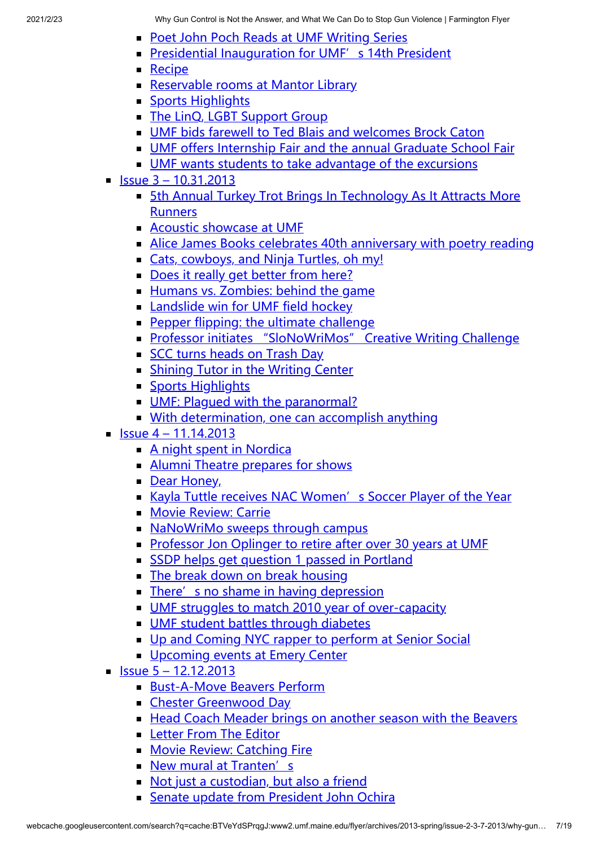- **[Poet John Poch Reads at UMF Writing Series](http://www2.umf.maine.edu/flyer/archives/2013fall/issue-2-10-17-2013/poet-john-poch-reads-at-umf-writing-series/)**
- **[Presidential Inauguration for UMF's 14th President](http://www2.umf.maine.edu/flyer/archives/2013fall/issue-2-10-17-2013/presidential-inauguration-for-umfs-14th-president/)**
- $\blacksquare$  [Recipe](http://www2.umf.maine.edu/flyer/archives/2013fall/issue-2-10-17-2013/recipe-2/)
- [Reservable rooms at Mantor Library](http://www2.umf.maine.edu/flyer/archives/2013fall/issue-2-10-17-2013/reservable-rooms-at-mantor-library/)
- **[Sports Highlights](http://www2.umf.maine.edu/flyer/archives/2013fall/issue-2-10-17-2013/sports-highlights-2/)**
- [The LinQ, LGBT Support Group](http://www2.umf.maine.edu/flyer/archives/2013fall/issue-2-10-17-2013/the-linq-lgbt-support-group/)
- [UMF bids farewell to Ted Blais and welcomes Brock Caton](http://www2.umf.maine.edu/flyer/archives/2013fall/issue-2-10-17-2013/umf-bids-farewell-to-ted-blais-and-welcomes-brock-caton/)
- [UMF offers Internship Fair and the annual Graduate School Fair](http://www2.umf.maine.edu/flyer/archives/2013fall/issue-2-10-17-2013/umf-offers-internship-fair-and-the-annual-graduate-school-fair/)
- **[UMF wants students to take advantage of the excursions](http://www2.umf.maine.edu/flyer/archives/2013fall/issue-2-10-17-2013/umf-wants-students-to-take-advantage-of-the-excursions/)**
- $\blacksquare$  [Issue 3 10.31.2013](http://www2.umf.maine.edu/flyer/archives/2013fall/issue-3-10-31-2013/)
	- **[5th Annual Turkey Trot Brings In Technology As It Attracts More](http://www2.umf.maine.edu/flyer/archives/2013fall/issue-3-10-31-2013/5th-annual-turkey-trot-brings-in-technology-as-it-attracts-more-runners/) Runners**
	- **[Acoustic showcase at UMF](http://www2.umf.maine.edu/flyer/archives/2013fall/issue-3-10-31-2013/acoustic-showcase-at-umf/)**
	- [Alice James Books celebrates 40th anniversary with poetry reading](http://www2.umf.maine.edu/flyer/archives/2013fall/issue-3-10-31-2013/alice-james-books-celebrates-40th-anniversary-with-poetry-reading/)
	- [Cats, cowboys, and Ninja Turtles, oh my!](http://www2.umf.maine.edu/flyer/archives/2013fall/issue-3-10-31-2013/cats-cowboys-and-ninja-turtles-oh-my/)
	- [Does it really get better from here?](http://www2.umf.maine.edu/flyer/archives/2013fall/issue-3-10-31-2013/1985-2/)
	- [Humans vs. Zombies: behind the game](http://www2.umf.maine.edu/flyer/archives/2013fall/issue-3-10-31-2013/humans-vs-zombies-behind-the-game/)
	- **[Landslide win for UMF field hockey](http://www2.umf.maine.edu/flyer/archives/2013fall/issue-3-10-31-2013/landslide-win-for-umf-field-hockey/)**
	- **[Pepper flipping: the ultimate challenge](http://www2.umf.maine.edu/flyer/archives/2013fall/issue-3-10-31-2013/pepper-flipping-the-ultimate-challenge/)**
	- **[Professor initiates "SloNoWriMos" Creative Writing Challenge](http://www2.umf.maine.edu/flyer/archives/2013fall/issue-3-10-31-2013/professor-initiates-slonowrimos-creative-writing-challenge/)**
	- [SCC turns heads on Trash Day](http://www2.umf.maine.edu/flyer/archives/2013fall/issue-3-10-31-2013/scc-turns-heads-on-trash-day/)
	- **[Shining Tutor in the Writing Center](http://www2.umf.maine.edu/flyer/archives/2013fall/issue-3-10-31-2013/shining-tutor-in-the-writing-center/)**
	- **[Sports Highlights](http://www2.umf.maine.edu/flyer/archives/2013fall/issue-3-10-31-2013/sports-highlights-3/)**
	- UMF: Plaqued with the paranormal?
	- **[With determination, one can accomplish anything](http://www2.umf.maine.edu/flyer/archives/2013fall/issue-3-10-31-2013/with-determination-one-can-accomplish-anything/)**
- $\blacksquare$  [Issue 4 11.14.2013](http://www2.umf.maine.edu/flyer/archives/2013fall/issue-4-11-14-2013/)
	- **[A night spent in Nordica](http://www2.umf.maine.edu/flyer/archives/2013fall/issue-4-11-14-2013/a-night-spent-in-nordica/)**
	- [Alumni Theatre prepares for shows](http://www2.umf.maine.edu/flyer/archives/2013fall/issue-4-11-14-2013/alumni-theatre-prepares-for-shows/)
	- [Dear Honey,](http://www2.umf.maine.edu/flyer/archives/2013fall/issue-4-11-14-2013/dear-honey/)
	- [Kayla Tuttle receives NAC Women's Soccer Player of the Year](http://www2.umf.maine.edu/flyer/archives/2013fall/issue-4-11-14-2013/kayla-tuttle-receives-nac-womens-soccer-player-of-the-year/)
	- **[Movie Review: Carrie](http://www2.umf.maine.edu/flyer/archives/2013fall/issue-4-11-14-2013/movie-review-carrie/)**
	- [NaNoWriMo sweeps through campus](http://www2.umf.maine.edu/flyer/archives/2013fall/issue-4-11-14-2013/nanowrimo-sweeps-through-campus/)
	- **[Professor Jon Oplinger to retire after over 30 years at UMF](http://www2.umf.maine.edu/flyer/archives/2013fall/issue-4-11-14-2013/professor-jon-oplinger-to-retire-after-over-30-years-at-umf/)**
	- [SSDP helps get question 1 passed in Portland](http://www2.umf.maine.edu/flyer/archives/2013fall/issue-4-11-14-2013/ssdp-helps-get-question-1-passed-in-portland/)
	- [The break down on break housing](http://www2.umf.maine.edu/flyer/archives/2013fall/issue-4-11-14-2013/the-break-down-on-break-housing/)
	- $\blacksquare$  [There's no shame in having depression](http://www2.umf.maine.edu/flyer/archives/2013fall/issue-4-11-14-2013/theres-no-shame-in-having-depression/)
	- [UMF struggles to match 2010 year of over-capacity](http://www2.umf.maine.edu/flyer/archives/2013fall/issue-4-11-14-2013/umf-struggles-to-match-2010-year-of-over-capacity/)
	- **[UMF student battles through diabetes](http://www2.umf.maine.edu/flyer/archives/2013fall/issue-4-11-14-2013/umf-student-battles-through-diabetes/)**
	- **[Up and Coming NYC rapper to perform at Senior Social](http://www2.umf.maine.edu/flyer/archives/2013fall/issue-4-11-14-2013/up-and-coming-nyc-rapper-to-perform-at-senior-social/)**
	- **[Upcoming events at Emery Center](http://www2.umf.maine.edu/flyer/archives/2013fall/issue-4-11-14-2013/upcoming-events-at-emery-center/)**
- $\blacksquare$  [Issue 5 12.12.2013](http://www2.umf.maine.edu/flyer/archives/2013fall/issue-5-12-12-2013/)
	- [Bust-A-Move Beavers Perform](http://www2.umf.maine.edu/flyer/archives/2013fall/issue-5-12-12-2013/bust-a-move-beavers-perform/)
	- **[Chester Greenwood Day](http://www2.umf.maine.edu/flyer/archives/2013fall/issue-5-12-12-2013/chester-greenwood-day/)**
	- [Head Coach Meader brings on another season with the Beavers](http://www2.umf.maine.edu/flyer/archives/2013fall/issue-5-12-12-2013/head-coach-meader-brings-on-another-season-with-the-beavers/)
	- **[Letter From The Editor](http://www2.umf.maine.edu/flyer/archives/2013fall/issue-5-12-12-2013/letter-from-the-editor/)**
	- **[Movie Review: Catching Fire](http://www2.umf.maine.edu/flyer/archives/2013fall/issue-5-12-12-2013/movie-review-catching-fire/)**
	- [New mural at Tranten's](http://www2.umf.maine.edu/flyer/archives/2013fall/issue-5-12-12-2013/new-mural-at-trantens/)
	- [Not just a custodian, but also a friend](http://www2.umf.maine.edu/flyer/archives/2013fall/issue-5-12-12-2013/not-just-a-custodian-but-also-a-friend/)
	- **[Senate update from President John Ochira](http://www2.umf.maine.edu/flyer/archives/2013fall/issue-5-12-12-2013/senate-update-from-president-john-ochira/)**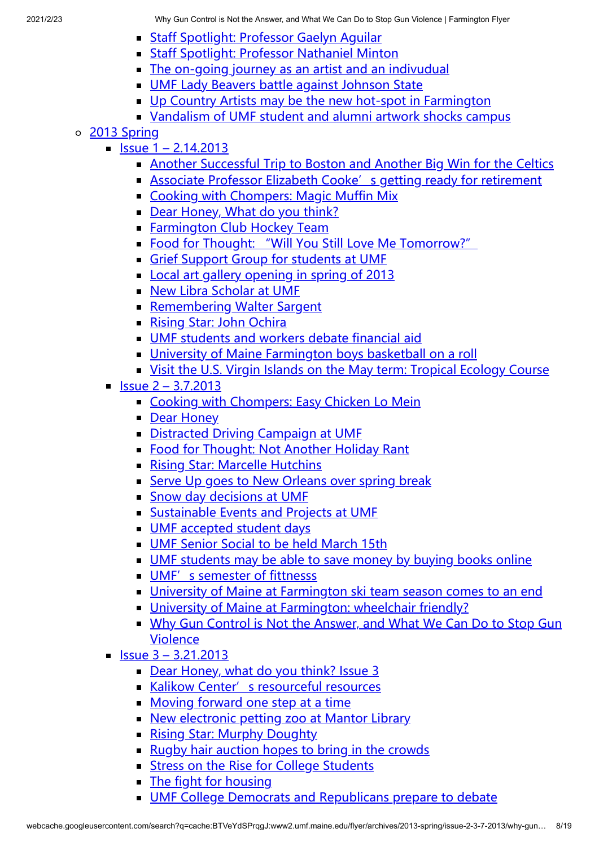- **[Staff Spotlight: Professor Gaelyn Aguilar](http://www2.umf.maine.edu/flyer/archives/2013fall/issue-5-12-12-2013/staff-spotlight-professor-gaelyn-aguilar/)**
- **[Staff Spotlight: Professor Nathaniel Minton](http://www2.umf.maine.edu/flyer/archives/2013fall/issue-5-12-12-2013/staff-spotlight-professor-nathaniel-minton/)**
- [The on-going journey as an artist and an indivudual](http://www2.umf.maine.edu/flyer/archives/2013fall/issue-5-12-12-2013/the-on-going-journey-as-an-artist-and-an-indivudual/)
- **[UMF Lady Beavers battle against Johnson State](http://www2.umf.maine.edu/flyer/archives/2013fall/issue-5-12-12-2013/umf-lady-beavers-battle-against-johnson-state/)**
- [Up Country Artists may be the new hot-spot in Farmington](http://www2.umf.maine.edu/flyer/archives/2013fall/issue-5-12-12-2013/up-country-artists-may-be-the-new-hot-spot-in-farmington/)
- [Vandalism of UMF student and alumni artwork shocks campus](http://www2.umf.maine.edu/flyer/archives/2013fall/issue-5-12-12-2013/vandalism-of-umf-student-and-alumni-artwork-shocks-campus/)
- [2013 Spring](http://www2.umf.maine.edu/flyer/archives/2013-spring/)
	- $\blacksquare$  [Issue 1 2.14.2013](http://www2.umf.maine.edu/flyer/archives/2013-spring/issue-1-2-14-2013/)
		- [Another Successful Trip to Boston and Another Big Win for the Celtics](http://www2.umf.maine.edu/flyer/archives/2013-spring/issue-1-2-14-2013/another-successful-trip-to-boston-and-another-big-win-for-the-celtics/)
		- **Example 2 [Associate Professor Elizabeth Cooke's getting ready for retirement](http://www2.umf.maine.edu/flyer/archives/2013-spring/issue-1-2-14-2013/associate-professor-elizabeth-cookes-getting-ready-for-retirement/)**
		- [Cooking with Chompers: Magic Muffin Mix](http://www2.umf.maine.edu/flyer/archives/2013-spring/issue-1-2-14-2013/cooking-with-chompers/)
		- [Dear Honey, What do you think?](http://www2.umf.maine.edu/flyer/archives/2013-spring/issue-1-2-14-2013/dear-honey-what-do-you-think/)
		- **[Farmington Club Hockey Team](http://www2.umf.maine.edu/flyer/archives/2013-spring/issue-1-2-14-2013/farmington-club-hockey-team/)**
		- [Food for Thought: "Will You Still Love Me Tomorrow?"](http://www2.umf.maine.edu/flyer/archives/2013-spring/issue-1-2-14-2013/food-for-thought-will-you-still-love-me-tomorrow/)
		- [Grief Support Group for students at UMF](http://www2.umf.maine.edu/flyer/archives/2013-spring/issue-1-2-14-2013/grief-support-group-for-students-at-umf/)
		- [Local art gallery opening in spring of 2013](http://www2.umf.maine.edu/flyer/archives/2013-spring/issue-1-2-14-2013/local-art-gallery-opening-in-spring-of-2013/)
		- [New Libra Scholar at UMF](http://www2.umf.maine.edu/flyer/archives/2013-spring/issue-1-2-14-2013/new-libra-scholar-at-umf/)
		- [Remembering Walter Sargent](http://www2.umf.maine.edu/flyer/archives/2013-spring/issue-1-2-14-2013/remembering-walter-sargent/)
		- **[Rising Star: John Ochira](http://www2.umf.maine.edu/flyer/archives/2013-spring/issue-1-2-14-2013/rising-star-john-ochira/)**
		- [UMF students and workers debate financial aid](http://www2.umf.maine.edu/flyer/archives/2013-spring/issue-1-2-14-2013/umf-students-and-workers-debate-financial-aid/)
		- [University of Maine Farmington boys basketball on a roll](http://www2.umf.maine.edu/flyer/archives/2013-spring/issue-1-2-14-2013/university-of-maine-farmington-boys-basketball-on-a-roll/)
		- [Visit the U.S. Virgin Islands on the May term: Tropical Ecology Course](http://www2.umf.maine.edu/flyer/archives/2013-spring/issue-1-2-14-2013/visit-the-u-s-virgin-islands-on-the-may-term-tropical-ecology-course/)
	- $\blacksquare$  [Issue 2 3.7.2013](http://www2.umf.maine.edu/flyer/archives/2013-spring/issue-2-3-7-2013/)
		- [Cooking with Chompers: Easy Chicken Lo Mein](http://www2.umf.maine.edu/flyer/archives/2013-spring/issue-2-3-7-2013/cooking-with-chompers-easy-chicken-lo-mein/)
		- **[Dear Honey](http://www2.umf.maine.edu/flyer/archives/2013-spring/issue-2-3-7-2013/dear-honey/)**
		- [Distracted Driving Campaign at UMF](http://www2.umf.maine.edu/flyer/archives/2013-spring/issue-2-3-7-2013/distracted-driving-campaign-at-umf/)
		- [Food for Thought: Not Another Holiday Rant](http://www2.umf.maine.edu/flyer/archives/2013-spring/issue-2-3-7-2013/food-for-thought-not-another-holiday-rant/)
		- **[Rising Star: Marcelle Hutchins](http://www2.umf.maine.edu/flyer/archives/2013-spring/issue-2-3-7-2013/rising-star-marcelle-hutchins/)**
		- [Serve Up goes to New Orleans over spring break](http://www2.umf.maine.edu/flyer/archives/2013-spring/issue-2-3-7-2013/serve-up-goes-to-new-orleans-over-spring-break/)
		- [Snow day decisions at UMF](http://www2.umf.maine.edu/flyer/archives/2013-spring/issue-2-3-7-2013/snow-day-decisions-at-umf/)
		- **[Sustainable Events and Projects at UMF](http://www2.umf.maine.edu/flyer/archives/2013-spring/issue-2-3-7-2013/sustainable-events-and-projects-at-umf/)**
		- [UMF accepted student days](http://www2.umf.maine.edu/flyer/archives/2013-spring/issue-2-3-7-2013/recruiting-new-students-for-fall-of-2013/)
		- **[UMF Senior Social to be held March 15th](http://www2.umf.maine.edu/flyer/archives/2013-spring/issue-2-3-7-2013/umf-senior-social-to-be-held-march-15th/)**
		- [UMF students may be able to save money by buying books online](http://www2.umf.maine.edu/flyer/archives/2013-spring/issue-2-3-7-2013/umf-students-may-be-able-to-save-money-by-buying-books-online/)
		- [UMF's semester of fittnesss](http://www2.umf.maine.edu/flyer/archives/2013-spring/issue-2-3-7-2013/umfs-semester-of-fittnesss/)
		- [University of Maine at Farmington ski team season comes to an end](http://www2.umf.maine.edu/flyer/archives/2013-spring/issue-2-3-7-2013/university-of-maine-at-farmington-ski-team-season-comes-to-an-end/)
		- **[University of Maine at Farmington: wheelchair friendly?](http://www2.umf.maine.edu/flyer/archives/2013-spring/issue-2-3-7-2013/university-of-maine-at-farmington-wheelchair-friendly/)**
		- [Why Gun Control is Not the Answer, and What We Can Do to Stop Gun](http://www2.umf.maine.edu/flyer/archives/2013-spring/issue-2-3-7-2013/why-gun-control-is-not-the-answer-and-what-we-can-do-to-stop-gun-violence/) Violence
	- $\blacksquare$  [Issue 3 3.21.2013](http://www2.umf.maine.edu/flyer/archives/2013-spring/issue-3-3-22-2013/)
		- [Dear Honey, what do you think? Issue 3](http://www2.umf.maine.edu/flyer/archives/2013-spring/issue-3-3-22-2013/dear-honey-what-do-you-think-issue-3/)
		- [Kalikow Center's resourceful resources](http://www2.umf.maine.edu/flyer/archives/2013-spring/issue-3-3-22-2013/kalikow-centers-resourceful-resources/)
		- **[Moving forward one step at a time](http://www2.umf.maine.edu/flyer/archives/2013-spring/issue-3-3-22-2013/moving-forward-one-step-at-a-time/)**
		- [New electronic petting zoo at Mantor Library](http://www2.umf.maine.edu/flyer/archives/2013-spring/issue-3-3-22-2013/new-electronic-petting-zoo-at-mantor-library/)
		- **[Rising Star: Murphy Doughty](http://www2.umf.maine.edu/flyer/archives/2013-spring/issue-3-3-22-2013/rising-star-murphy-doughty/)**
		- [Rugby hair auction hopes to bring in the crowds](http://www2.umf.maine.edu/flyer/archives/2013-spring/issue-3-3-22-2013/rugby-hair-auction-hopes-to-bring-in-the-crowds/)
		- **[Stress on the Rise for College Students](http://www2.umf.maine.edu/flyer/archives/2013-spring/issue-3-3-22-2013/stress-on-the-rise-for-college-students/)**
		- **[The fight for housing](http://www2.umf.maine.edu/flyer/archives/2013-spring/issue-3-3-22-2013/the-fight-for-housing/)**
		- [UMF College Democrats and Republicans prepare to debate](http://www2.umf.maine.edu/flyer/archives/2013-spring/issue-3-3-22-2013/umf-college-democrats-and-republicans-prepare-to-debate/)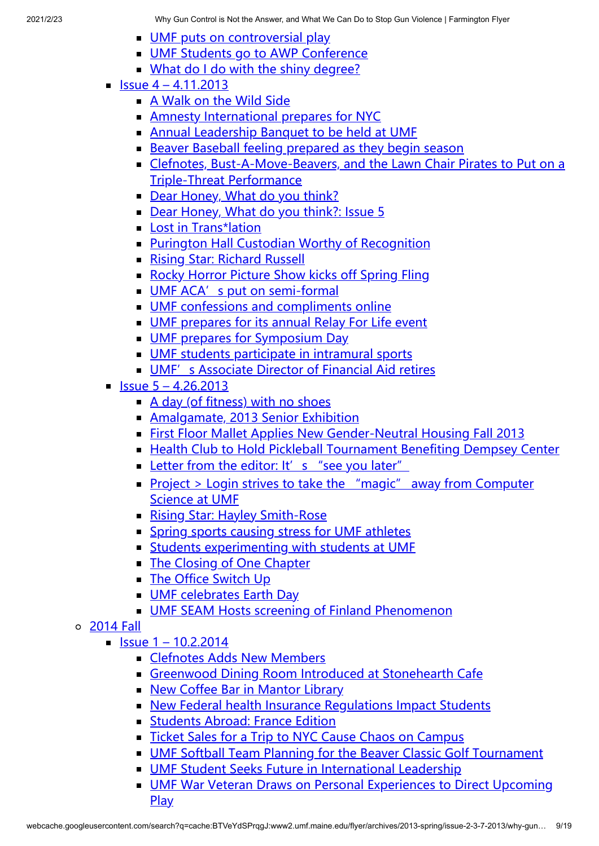- [UMF puts on controversial play](http://www2.umf.maine.edu/flyer/archives/2013-spring/issue-3-3-22-2013/umf-puts-on-controversial-play/)
- **[UMF Students go to AWP Conference](http://www2.umf.maine.edu/flyer/archives/2013-spring/issue-3-3-22-2013/umf-students-go-to-awp-conference/)**
- [What do I do with the shiny degree?](http://www2.umf.maine.edu/flyer/archives/2013-spring/issue-3-3-22-2013/what-do-i-do-with-the-shiny-degree/)
- $\blacksquare$  [Issue 4 4.11.2013](http://www2.umf.maine.edu/flyer/archives/2013-spring/issue-4-4-11-2013/)
	- **[A Walk on the Wild Side](http://www2.umf.maine.edu/flyer/archives/2013-spring/issue-4-4-11-2013/a-walk-on-the-wild-side/)**
	- **[Amnesty International prepares for NYC](http://www2.umf.maine.edu/flyer/archives/2013-spring/issue-4-4-11-2013/amnesty-international-prepares-for-nyc/)**
	- **[Annual Leadership Banquet to be held at UMF](http://www2.umf.maine.edu/flyer/archives/2013-spring/issue-4-4-11-2013/annual-leadership-banquet-to-be-held-at-umf/)**
	- [Beaver Baseball feeling prepared as they begin season](http://www2.umf.maine.edu/flyer/archives/2013-spring/issue-4-4-11-2013/beaver-baseball-feeling-prepared-as-they-begin-season/)
	- [Clefnotes, Bust-A-Move-Beavers, and the Lawn Chair Pirates to Put on a](http://www2.umf.maine.edu/flyer/archives/2013-spring/issue-4-4-11-2013/clefnotes-bust-a-move-beavers-and-the-lawn-chair-pirates-to-put-on-a-triple-threat-performance/) Triple-Threat Performance
	- [Dear Honey, What do you think?](http://www2.umf.maine.edu/flyer/archives/2013-spring/issue-4-4-11-2013/dear-honey-what-do-you-think-2/)
	- [Dear Honey, What do you think?: Issue 5](http://www2.umf.maine.edu/flyer/archives/2013-spring/issue-4-4-11-2013/dear-honey-what-do-you-think-issue-5/)
	- **[Lost in Trans\\*lation](http://www2.umf.maine.edu/flyer/archives/2013-spring/issue-4-4-11-2013/lost-in-translation/)**
	- **[Purington Hall Custodian Worthy of Recognition](http://www2.umf.maine.edu/flyer/archives/2013-spring/issue-4-4-11-2013/purington-hall-custodian-worthy-of-recognition/)**
	- **[Rising Star: Richard Russell](http://www2.umf.maine.edu/flyer/archives/2013-spring/issue-4-4-11-2013/rising-star-richard-russell/)**
	- [Rocky Horror Picture Show kicks off Spring Fling](http://www2.umf.maine.edu/flyer/archives/2013-spring/issue-4-4-11-2013/rocky-horror-picture-show-kicks-off-spring-fling/)
	- [UMF ACA's put on semi-formal](http://www2.umf.maine.edu/flyer/archives/2013-spring/issue-4-4-11-2013/umf-acas-put-on-semi-formal/)
	- **[UMF confessions and compliments online](http://www2.umf.maine.edu/flyer/archives/2013-spring/issue-4-4-11-2013/umf-confessions-and-compliments-online/)**
	- [UMF prepares for its annual Relay For Life event](http://www2.umf.maine.edu/flyer/archives/2013-spring/issue-4-4-11-2013/umf-prepares-for-its-annual-relay-for-life-event/)
	- **[UMF prepares for Symposium Day](http://www2.umf.maine.edu/flyer/archives/2013-spring/issue-4-4-11-2013/umf-prepares-for-symposium-day/)**
	- [UMF students participate in intramural sports](http://www2.umf.maine.edu/flyer/archives/2013-spring/issue-4-4-11-2013/umf-students-participate-in-intramural-sports/)
	- **UMF'** s Associate Director of Financial Aid retires
- $\blacksquare$  [Issue 5 4.26.2013](http://www2.umf.maine.edu/flyer/archives/2013-spring/issue-5-4-26-2013/)
	- $\blacksquare$  [A day \(of fitness\) with no shoes](http://www2.umf.maine.edu/flyer/archives/2013-spring/issue-5-4-26-2013/a-day-of-fitness-with-no-shoes/)
	- **[Amalgamate, 2013 Senior Exhibition](http://www2.umf.maine.edu/flyer/archives/2013-spring/issue-5-4-26-2013/amalgamate-2013-senior-exhibition/)**
	- **[First Floor Mallet Applies New Gender-Neutral Housing Fall 2013](http://www2.umf.maine.edu/flyer/archives/2013-spring/issue-5-4-26-2013/first-floor-mallet-applies-new-gender-neutral-housing-fall-2013/)**
	- **[Health Club to Hold Pickleball Tournament Benefiting Dempsey Center](http://www2.umf.maine.edu/flyer/archives/2013-spring/issue-5-4-26-2013/health-club-to-hold-pickleball-tournament-benefiting-dempsey-center/)**
	- [Letter from the editor: It's "see you later"](http://www2.umf.maine.edu/flyer/archives/2013-spring/issue-5-4-26-2013/letter-from-the-editor%e2%80%a8-its-see-you-later/)
	- [Project > Login strives to take the "magic" away from Computer](http://www2.umf.maine.edu/flyer/archives/2013-spring/issue-5-4-26-2013/project-login-strives-to-take-the-magic-away-from-computer-science-at-umf/) Science at UMF
	- **[Rising Star: Hayley Smith-Rose](http://www2.umf.maine.edu/flyer/archives/2013-spring/issue-5-4-26-2013/rising-star-hayley-smith-rose/)**
	- **[Spring sports causing stress for UMF athletes](http://www2.umf.maine.edu/flyer/archives/2013-spring/issue-5-4-26-2013/spring-sports-causing-stress-for-umf-athletes/)**
	- **[Students experimenting with students at UMF](http://www2.umf.maine.edu/flyer/archives/2013-spring/issue-5-4-26-2013/students-experimenting-with-students-at-umf/)**
	- [The Closing of One Chapter](http://www2.umf.maine.edu/flyer/archives/2013-spring/issue-5-4-26-2013/the-closing-of-one-chapter/)
	- **[The Office Switch Up](http://www2.umf.maine.edu/flyer/archives/2013-spring/issue-5-4-26-2013/the-office-switch-up/)**
	- **[UMF celebrates Earth Day](http://www2.umf.maine.edu/flyer/archives/2013-spring/issue-5-4-26-2013/umf-celebrates-earth-day/)**
	- [UMF SEAM Hosts screening of Finland Phenomenon](http://www2.umf.maine.edu/flyer/archives/2013-spring/issue-5-4-26-2013/umf-seam-hosts-screening-of-finland-phenomenon/)
- [2014 Fall](http://www2.umf.maine.edu/flyer/archives/2014-fall/)
	- $\blacksquare$  [Issue 1 10.2.2014](http://www2.umf.maine.edu/flyer/archives/2014-fall/issue-1-10-2-2014/)
		- **[Clefnotes Adds New Members](http://www2.umf.maine.edu/flyer/archives/2014-fall/issue-1-10-2-2014/clefnotes-adds-new-members/)**
		- [Greenwood Dining Room Introduced at Stonehearth Cafe](http://www2.umf.maine.edu/flyer/archives/2014-fall/issue-1-10-2-2014/greenwood-dining-room-introduced-at-stonehearth-cafe/)
		- **[New Coffee Bar in Mantor Library](http://www2.umf.maine.edu/flyer/archives/2014-fall/issue-1-10-2-2014/new-coffee-bar-in-mantor-library/)**
		- [New Federal health Insurance Regulations Impact Students](http://www2.umf.maine.edu/flyer/archives/2014-fall/issue-1-10-2-2014/new-federal-health-insurance-regulations-impact-students/)
		- **[Students Abroad: France Edition](http://www2.umf.maine.edu/flyer/archives/2014-fall/issue-1-10-2-2014/students-abroad-france-edition/)**
		- [Ticket Sales for a Trip to NYC Cause Chaos on Campus](http://www2.umf.maine.edu/flyer/archives/2014-fall/issue-1-10-2-2014/ticket-sales-for-a-trip-to-nyc-cause-chaos-on-campus/)
		- [UMF Softball Team Planning for the Beaver Classic Golf Tournament](http://www2.umf.maine.edu/flyer/archives/2014-fall/issue-1-10-2-2014/umf-softball-team-planning-for-the-beaver-classic-golf-tournament/)
		- [UMF Student Seeks Future in International Leadership](http://www2.umf.maine.edu/flyer/archives/2014-fall/issue-1-10-2-2014/umf-student-seeks-future-in-international-leadership/)
		- **[UMF War Veteran Draws on Personal Experiences to Direct Upcoming](http://www2.umf.maine.edu/flyer/archives/2014-fall/issue-1-10-2-2014/umf-war-veteran-draws-on-personal-experiences-to-direct-upcoming-play/)** Play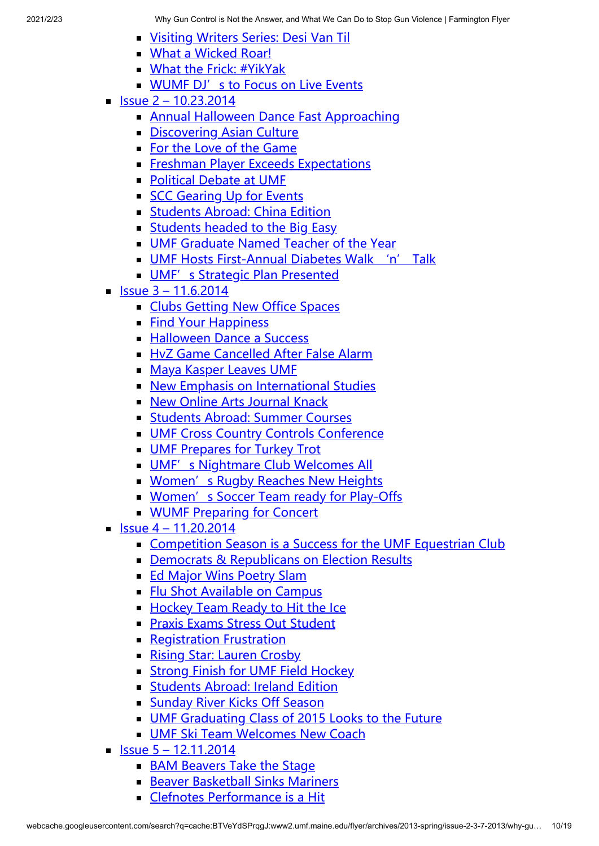- **[Visiting Writers Series: Desi Van Til](http://www2.umf.maine.edu/flyer/archives/2014-fall/issue-1-10-2-2014/visiting-writers-series-desi-van-til/)**
- **[What a Wicked Roar!](http://www2.umf.maine.edu/flyer/archives/2014-fall/issue-1-10-2-2014/what-a-wicket-roar/)**
- **[What the Frick: #YikYak](http://www2.umf.maine.edu/flyer/archives/2014-fall/issue-1-10-2-2014/what-the-frick-yikyak/)**
- **[WUMF DJ's to Focus on Live Events](http://www2.umf.maine.edu/flyer/archives/2014-fall/issue-1-10-2-2014/wumf-djs-to-focus-on-live-events/)**
- $\blacksquare$  [Issue 2 10.23.2014](http://www2.umf.maine.edu/flyer/archives/2014-fall/issue-2-10-23-2014/)
	- **[Annual Halloween Dance Fast Approaching](http://www2.umf.maine.edu/flyer/archives/2014-fall/issue-2-10-23-2014/annual-halloween-dance-fast-approaching/)**
	- [Discovering Asian Culture](http://www2.umf.maine.edu/flyer/archives/2014-fall/issue-2-10-23-2014/15030-2/)
	- [For the Love of the Game](http://www2.umf.maine.edu/flyer/archives/2014-fall/issue-2-10-23-2014/for-the-love-of-the-game/)
	- [Freshman Player Exceeds Expectations](http://www2.umf.maine.edu/flyer/archives/2014-fall/issue-2-10-23-2014/freshman-player-exceeds-expectations/)
	- [Political Debate at UMF](http://www2.umf.maine.edu/flyer/archives/2014-fall/issue-2-10-23-2014/political-debate-at-umf-2/)
	- [SCC Gearing Up for Events](http://www2.umf.maine.edu/flyer/archives/2014-fall/issue-2-10-23-2014/scc-gearing-up-for-events/)
	- **[Students Abroad: China Edition](http://www2.umf.maine.edu/flyer/archives/2014-fall/issue-2-10-23-2014/students-abroad-china-edition/)**
	- **[Students headed to the Big Easy](http://www2.umf.maine.edu/flyer/archives/2014-fall/issue-2-10-23-2014/political-debate-at-umf/)**
	- **[UMF Graduate Named Teacher of the Year](http://www2.umf.maine.edu/flyer/archives/2014-fall/issue-2-10-23-2014/umf-graduate-named-teacher-of-the-year/)**
	- **[UMF Hosts First-Annual Diabetes Walk 'n' Talk](http://www2.umf.maine.edu/flyer/archives/2014-fall/issue-2-10-23-2014/umf-hosts-first-annual-diabetes-walk-n-talk/)**
	- **[UMF's Strategic Plan Presented](http://www2.umf.maine.edu/flyer/archives/2014-fall/issue-2-10-23-2014/umfs-strategic-plan-presented/)**
- $\blacksquare$  [Issue 3 11.6.2014](http://www2.umf.maine.edu/flyer/archives/2014-fall/issue-3-11-6-2014/)
	- **[Clubs Getting New Office Spaces](http://www2.umf.maine.edu/flyer/archives/2014-fall/issue-3-11-6-2014/clubs-getting-new-office-spaces/)**
	- **[Find Your Happiness](http://www2.umf.maine.edu/flyer/archives/2014-fall/issue-3-11-6-2014/find-your-happiness/)**
	- **[Halloween Dance a Success](http://www2.umf.maine.edu/flyer/archives/2014-fall/issue-3-11-6-2014/halloween-dance-a-success/)**
	- [HvZ Game Cancelled After False Alarm](http://www2.umf.maine.edu/flyer/archives/2014-fall/issue-3-11-6-2014/hvz-game-cancelled-after-false-alarm/)
	- **[Maya Kasper Leaves UMF](http://www2.umf.maine.edu/flyer/archives/2014-fall/issue-3-11-6-2014/maya-kasper-leaves-umf/)**
	- [New Emphasis on International Studies](http://www2.umf.maine.edu/flyer/archives/2014-fall/issue-3-11-6-2014/new-emphasis-on-international-studies/)
	- **[New Online Arts Journal Knack](http://www2.umf.maine.edu/flyer/archives/2014-fall/issue-3-11-6-2014/new-online-arts-journal-knack/)**
	- **[Students Abroad: Summer Courses](http://www2.umf.maine.edu/flyer/archives/2014-fall/issue-3-11-6-2014/students-abroad-summer-courses/)**
	- **[UMF Cross Country Controls Conference](http://www2.umf.maine.edu/flyer/archives/2014-fall/issue-3-11-6-2014/umf-cross-country-controls-conference/)**
	- **[UMF Prepares for Turkey Trot](http://www2.umf.maine.edu/flyer/archives/2014-fall/issue-3-11-6-2014/umf-prepares-for-turkey-trot/)**
	- **[UMF's Nightmare Club Welcomes All](http://www2.umf.maine.edu/flyer/archives/2014-fall/issue-3-11-6-2014/umfs-nightmare-club-welcomes-all/)**
	- **[Women's Rugby Reaches New Heights](http://www2.umf.maine.edu/flyer/archives/2014-fall/issue-3-11-6-2014/womens-rugby-reaches-new-heights/)**
	- **[Women's Soccer Team ready for Play-Offs](http://www2.umf.maine.edu/flyer/archives/2014-fall/issue-3-11-6-2014/womens-soccer-team-ready-for-play-offs/)**
	- **[WUMF Preparing for Concert](http://www2.umf.maine.edu/flyer/archives/2014-fall/issue-3-11-6-2014/wumf-preparing-for-concert/)**
- $\blacksquare$  [Issue 4 11.20.2014](http://www2.umf.maine.edu/flyer/archives/2014-fall/issue-4-11-20-2014/)
	- [Competition Season is a Success for the UMF Equestrian Club](http://www2.umf.maine.edu/flyer/archives/2014-fall/issue-4-11-20-2014/competition-season-is-a-success-for-the-umf-equestrian-club/)
	- **[Democrats & Republicans on Election Results](http://www2.umf.maine.edu/flyer/archives/2014-fall/issue-4-11-20-2014/democrats-republicans-on-election-results/)**
	- **[Ed Major Wins Poetry Slam](http://www2.umf.maine.edu/flyer/archives/2014-fall/issue-4-11-20-2014/ed-major-wins-poetry-slam/)**
	- **[Flu Shot Available on Campus](http://www2.umf.maine.edu/flyer/archives/2014-fall/issue-4-11-20-2014/flu-shot-available-on-campus/)**
	- [Hockey Team Ready to Hit the Ice](http://www2.umf.maine.edu/flyer/archives/2014-fall/issue-4-11-20-2014/hockey-team-ready-to-hit-the-ice/)
	- **[Praxis Exams Stress Out Student](http://www2.umf.maine.edu/flyer/archives/2014-fall/issue-4-11-20-2014/praxis-exams-stress-out-student/)**
	- **[Registration Frustration](http://www2.umf.maine.edu/flyer/archives/2014-fall/issue-4-11-20-2014/registration-frustration/)**
	- **[Rising Star: Lauren Crosby](http://www2.umf.maine.edu/flyer/archives/2014-fall/issue-4-11-20-2014/rising-star-lauren-crosby/)**
	- **[Strong Finish for UMF Field Hockey](http://www2.umf.maine.edu/flyer/archives/2014-fall/issue-4-11-20-2014/strong-finish-for-umf-field-hockey/)**
	- **[Students Abroad: Ireland Edition](http://www2.umf.maine.edu/flyer/archives/2014-fall/issue-4-11-20-2014/students-abroad-ireland-edition/)**
	- **[Sunday River Kicks Off Season](http://www2.umf.maine.edu/flyer/archives/2014-fall/issue-4-11-20-2014/sunday-river-kicks-off-season/)**
	- **[UMF Graduating Class of 2015 Looks to the Future](http://www2.umf.maine.edu/flyer/archives/2014-fall/issue-4-11-20-2014/umf-graduating-class-of-2015-looks-to-the-future/)**
	- **[UMF Ski Team Welcomes New Coach](http://www2.umf.maine.edu/flyer/archives/2014-fall/issue-4-11-20-2014/umf-ski-team-welcomes-new-coach/)**
- $\blacksquare$  [Issue 5 12.11.2014](http://www2.umf.maine.edu/flyer/archives/2014-fall/issue-5-12-11-2014/)
	- **[BAM Beavers Take the Stage](http://www2.umf.maine.edu/flyer/archives/2014-fall/issue-5-12-11-2014/bam-beavers-take-the-stage/)**
	- **[Beaver Basketball Sinks Mariners](http://www2.umf.maine.edu/flyer/archives/2014-fall/issue-5-12-11-2014/beaver-basketball-sinks-mariners/)**
	- [Clefnotes Performance is a Hit](http://www2.umf.maine.edu/flyer/archives/2014-fall/issue-5-12-11-2014/clefnotes-performance-is-a-hit/)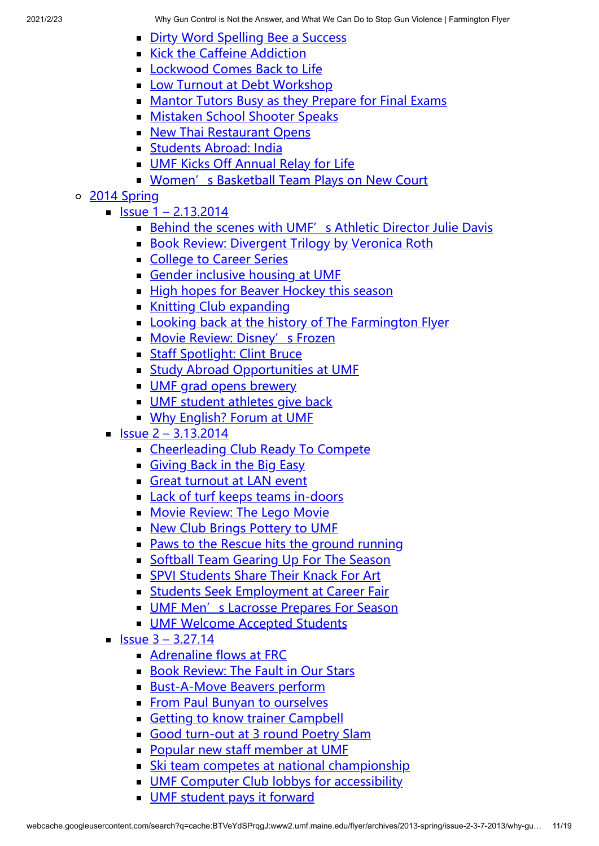- [Dirty Word Spelling Bee a Success](http://www2.umf.maine.edu/flyer/archives/2014-fall/issue-5-12-11-2014/dirty-word-spelling-bee-a-success/)
- [Kick the Caffeine Addiction](http://www2.umf.maine.edu/flyer/archives/2014-fall/issue-5-12-11-2014/kick-the-caffeine-addiction/)
- **[Lockwood Comes Back to Life](http://www2.umf.maine.edu/flyer/archives/2014-fall/issue-5-12-11-2014/lockwood-comes-back-to-life/)**
- **[Low Turnout at Debt Workshop](http://www2.umf.maine.edu/flyer/archives/2014-fall/issue-5-12-11-2014/low-turnout-at-debt-workshop/)**
- **[Mantor Tutors Busy as they Prepare for Final Exams](http://www2.umf.maine.edu/flyer/archives/2014-fall/issue-5-12-11-2014/mantor-tutors-busy-as-they-prepare-for-final-exams/)**
- **[Mistaken School Shooter Speaks](http://www2.umf.maine.edu/flyer/archives/2014-fall/issue-5-12-11-2014/mistaken-school-shooter-speaks/)**
- **[New Thai Restaurant Opens](http://www2.umf.maine.edu/flyer/archives/2014-fall/issue-5-12-11-2014/new-thai-restaurant-opens/)**
- **[Students Abroad: India](http://www2.umf.maine.edu/flyer/archives/2014-fall/issue-5-12-11-2014/students-abroad-india/)**
- **[UMF Kicks Off Annual Relay for Life](http://www2.umf.maine.edu/flyer/archives/2014-fall/issue-5-12-11-2014/umf-kicks-off-annual-relay-for-life/)**
- **[Women's Basketball Team Plays on New Court](http://www2.umf.maine.edu/flyer/archives/2014-fall/issue-5-12-11-2014/womens-basketball-team-plays-on-new-court/)**

## o [2014 Spring](http://www2.umf.maine.edu/flyer/archives/spring-2014/)

- $\blacksquare$  [Issue 1 2.13.2014](http://www2.umf.maine.edu/flyer/archives/spring-2014/issue-1-2-13-2014/)
	- **[Behind the scenes with UMF's Athletic Director Julie Davis](http://www2.umf.maine.edu/flyer/archives/spring-2014/issue-1-2-13-2014/behind-the-scenes-with-umfs-athletic-director-julie-davis/)**
	- [Book Review: Divergent Trilogy by Veronica Roth](http://www2.umf.maine.edu/flyer/archives/spring-2014/issue-1-2-13-2014/book-review-divergent-trilogy-by-veronica-roth/)
	- [College to Career Series](http://www2.umf.maine.edu/flyer/archives/spring-2014/issue-1-2-13-2014/college-to-career-series/)
	- [Gender inclusive housing at UMF](http://www2.umf.maine.edu/flyer/archives/spring-2014/issue-1-2-13-2014/gender-inclusive-housing-at-umf/)
	- [High hopes for Beaver Hockey this season](http://www2.umf.maine.edu/flyer/archives/spring-2014/issue-1-2-13-2014/high-hopes-for-beaver-hockey-this-season/)
	- **[Knitting Club expanding](http://www2.umf.maine.edu/flyer/archives/spring-2014/issue-1-2-13-2014/knitting-club-expanding/)**
	- **[Looking back at the history of The Farmington Flyer](http://www2.umf.maine.edu/flyer/archives/spring-2014/issue-1-2-13-2014/looking-back-at-the-history-of-the-farmington-flyer/)**
	- [Movie Review: Disney's Frozen](http://www2.umf.maine.edu/flyer/archives/spring-2014/issue-1-2-13-2014/movie-review-disneys-frozen/)
	- **[Staff Spotlight: Clint Bruce](http://www2.umf.maine.edu/flyer/archives/spring-2014/issue-1-2-13-2014/staff-spotlight-clint-bruce/)**
	- **[Study Abroad Opportunities at UMF](http://www2.umf.maine.edu/flyer/archives/spring-2014/issue-1-2-13-2014/study-abroad-opportunities-at-umf/)**
	- **UMF** grad opens brewery
	- **UMF** student athletes give back
	- **[Why English? Forum at UMF](http://www2.umf.maine.edu/flyer/archives/spring-2014/issue-1-2-13-2014/why-english-forum-at-umf/)**
- $\blacksquare$  [Issue 2 3.13.2014](http://www2.umf.maine.edu/flyer/archives/spring-2014/issue-2-3-13-2014/)
	- [Cheerleading Club Ready To Compete](http://www2.umf.maine.edu/flyer/archives/spring-2014/issue-2-3-13-2014/cheerleading-club-ready-to-compete/)
	- [Giving Back in the Big Easy](http://www2.umf.maine.edu/flyer/archives/spring-2014/issue-2-3-13-2014/giving-back-in-the-big-easy/)
	- [Great turnout at LAN event](http://www2.umf.maine.edu/flyer/archives/spring-2014/issue-2-3-13-2014/great-turnout-at-lan-event/)
	- **[Lack of turf keeps teams in-doors](http://www2.umf.maine.edu/flyer/archives/spring-2014/issue-2-3-13-2014/lack-of-turf-keeps-teams-in-doors/)**
	- **[Movie Review: The Lego Movie](http://www2.umf.maine.edu/flyer/archives/spring-2014/issue-2-3-13-2014/movie-review-the-lego-movie/)**
	- [New Club Brings Pottery to UMF](http://www2.umf.maine.edu/flyer/archives/spring-2014/issue-2-3-13-2014/new-club-brings-pottery-to-umf/)
	- **[Paws to the Rescue hits the ground running](http://www2.umf.maine.edu/flyer/archives/spring-2014/issue-2-3-13-2014/paws-to-the-rescue-hits-the-ground-running/)**
	- **[Softball Team Gearing Up For The Season](http://www2.umf.maine.edu/flyer/archives/spring-2014/issue-2-3-13-2014/softball-team-gearing-up-for-the-season/)**
	- [SPVI Students Share Their Knack For Art](http://www2.umf.maine.edu/flyer/archives/spring-2014/issue-2-3-13-2014/spvi-students-share-their-knack-for-art/)
	- **[Students Seek Employment at Career Fair](http://www2.umf.maine.edu/flyer/archives/spring-2014/issue-2-3-13-2014/students-seek-employment-at-career-fair/)**
	- **[UMF Men's Lacrosse Prepares For Season](http://www2.umf.maine.edu/flyer/archives/spring-2014/issue-2-3-13-2014/umf-mens-lacrosse-prepares-for-season/)**
	- **[UMF Welcome Accepted Students](http://www2.umf.maine.edu/flyer/archives/spring-2014/issue-2-3-13-2014/umf-welcome-accepted-students/)**
- $\blacksquare$  [Issue 3 3.27.14](http://www2.umf.maine.edu/flyer/archives/spring-2014/issue-3-3-27-14/)
	- [Adrenaline flows at FRC](http://www2.umf.maine.edu/flyer/archives/spring-2014/issue-3-3-27-14/adrenaline-flows-at-frc/)
	- **[Book Review: The Fault in Our Stars](http://www2.umf.maine.edu/flyer/archives/spring-2014/issue-3-3-27-14/book-review-the-fault-in-our-stars/)**
	- [Bust-A-Move Beavers perform](http://www2.umf.maine.edu/flyer/archives/spring-2014/issue-3-3-27-14/bust-a-move-beavers-perform-2/)
	- **[From Paul Bunyan to ourselves](http://www2.umf.maine.edu/flyer/archives/spring-2014/issue-3-3-27-14/from-paul-bunyan-to-ourselves/)**
	- [Getting to know trainer Campbell](http://www2.umf.maine.edu/flyer/archives/spring-2014/issue-3-3-27-14/getting-to-know-trainer-campbell/)
	- [Good turn-out at 3 round Poetry Slam](http://www2.umf.maine.edu/flyer/archives/spring-2014/issue-3-3-27-14/good-turn-out-at-3-round-poetry-slam/)
	- **[Popular new staff member at UMF](http://www2.umf.maine.edu/flyer/archives/spring-2014/issue-3-3-27-14/popular-new-staff-member-at-umf/)**
	- **[Ski team competes at national championship](http://www2.umf.maine.edu/flyer/archives/spring-2014/issue-3-3-27-14/ski-team-competes-at-national-championship/)**
	- **[UMF Computer Club lobbys for accessibility](http://www2.umf.maine.edu/flyer/archives/spring-2014/issue-3-3-27-14/umf-computer-club-lobbys-for-accessibility/)**
	- **[UMF student pays it forward](http://www2.umf.maine.edu/flyer/archives/spring-2014/issue-3-3-27-14/umf-student-pays-it-forward/)**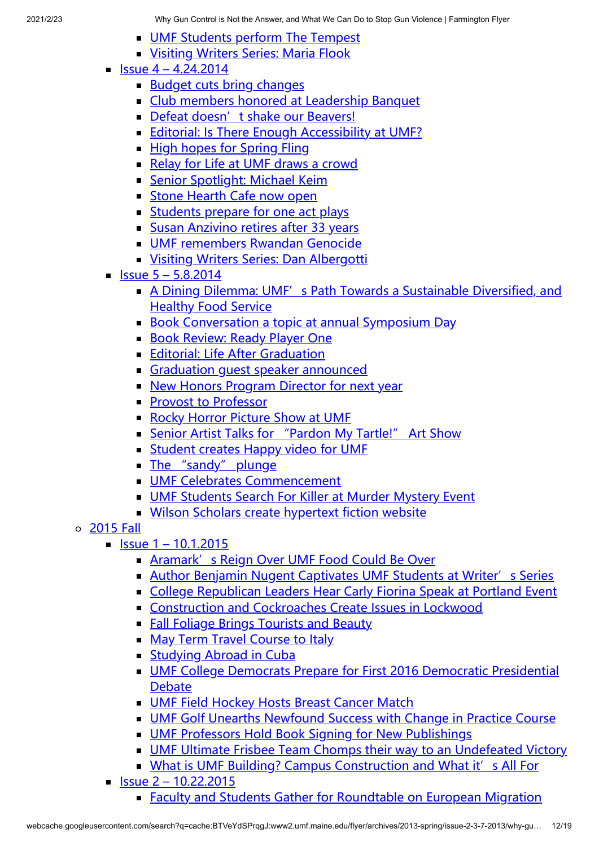- **[UMF Students perform The Tempest](http://www2.umf.maine.edu/flyer/archives/spring-2014/issue-3-3-27-14/umf-students-perform-the-tempest/)**
- **[Visiting Writers Series: Maria Flook](http://www2.umf.maine.edu/flyer/archives/spring-2014/issue-3-3-27-14/visiting-writers-series-maria-flook/)**
- $\blacksquare$  [Issue 4 4.24.2014](http://www2.umf.maine.edu/flyer/archives/spring-2014/issue-4-4-24-2014/)
	- **[Budget cuts bring changes](http://www2.umf.maine.edu/flyer/archives/spring-2014/issue-4-4-24-2014/budget-cuts-bring-changes/)**
	- [Club members honored at Leadership Banquet](http://www2.umf.maine.edu/flyer/archives/spring-2014/issue-4-4-24-2014/club-members-honored-at-leadership-banquet/)
	- [Defeat doesn't shake our Beavers!](http://www2.umf.maine.edu/flyer/archives/spring-2014/issue-4-4-24-2014/defeat-doesnt-shake-our-beavers/)
	- **[Editorial: Is There Enough Accessibility at UMF?](http://www2.umf.maine.edu/flyer/archives/spring-2014/issue-4-4-24-2014/editorial-is-there-enough-accessibility-at-umf/)**
	- **[High hopes for Spring Fling](http://www2.umf.maine.edu/flyer/archives/spring-2014/issue-4-4-24-2014/high-hopes-for-spring-fling/)**
	- [Relay for Life at UMF draws a crowd](http://www2.umf.maine.edu/flyer/archives/spring-2014/issue-4-4-24-2014/relay-for-life-at-umf/)
	- **[Senior Spotlight: Michael Keim](http://www2.umf.maine.edu/flyer/archives/spring-2014/issue-4-4-24-2014/senior-spotlight-michael-keim/)**
	- **[Stone Hearth Cafe now open](http://www2.umf.maine.edu/flyer/archives/spring-2014/issue-4-4-24-2014/stone-hearth-cafe-now-open/)**
	- [Students prepare for one act plays](http://www2.umf.maine.edu/flyer/archives/spring-2014/issue-4-4-24-2014/students-prepare-for-one-act-plays/)
	- [Susan Anzivino retires after 33 years](http://www2.umf.maine.edu/flyer/archives/spring-2014/issue-4-4-24-2014/susan-anzivino-retires-after-33-years/)
	- **[UMF remembers Rwandan Genocide](http://www2.umf.maine.edu/flyer/archives/spring-2014/issue-4-4-24-2014/umf-remembers-rwandan-genocide/)**
	- **[Visiting Writers Series: Dan Albergotti](http://www2.umf.maine.edu/flyer/archives/spring-2014/issue-4-4-24-2014/visiting-writers-series-dan-albergotti/)**
- $\blacksquare$  [Issue 5 5.8.2014](http://www2.umf.maine.edu/flyer/archives/spring-2014/issue-5-5-8-2014/)
	- [A Dining Dilemma: UMF's Path Towards a Sustainable Diversified, and](http://www2.umf.maine.edu/flyer/archives/spring-2014/issue-5-5-8-2014/a-dining-dilemma-umfs-path-towards-a-sustainable-diversified-and-healthy-food-service/) Healthy Food Service
	- [Book Conversation a topic at annual Symposium Day](http://www2.umf.maine.edu/flyer/archives/spring-2014/issue-5-5-8-2014/book-conversation-a-topic-at-annual-symposium-day/)
	- **[Book Review: Ready Player One](http://www2.umf.maine.edu/flyer/archives/spring-2014/issue-5-5-8-2014/book-review-ready-player-one/)**
	- **[Editorial: Life After Graduation](http://www2.umf.maine.edu/flyer/archives/spring-2014/issue-5-5-8-2014/editorial-life-after-graduation/)**
	- Graduation quest speaker announced
	- **[New Honors Program Director for next year](http://www2.umf.maine.edu/flyer/archives/spring-2014/issue-5-5-8-2014/new-honors-program-director-for-next-year/)**
	- **[Provost to Professor](http://www2.umf.maine.edu/flyer/archives/spring-2014/issue-5-5-8-2014/provost-to-professor/)**
	- [Rocky Horror Picture Show at UMF](http://www2.umf.maine.edu/flyer/archives/spring-2014/issue-5-5-8-2014/rocky-horror-picture-show-at-umf/)
	- **Example 1** [Senior Artist Talks for "Pardon My Tartle!" Art Show](http://www2.umf.maine.edu/flyer/archives/spring-2014/issue-5-5-8-2014/senior-artist-talks-for-pardon-my-tartle-art-show/)
	- **[Student creates Happy video for UMF](http://www2.umf.maine.edu/flyer/archives/spring-2014/issue-5-5-8-2014/student-creates-happy-video-for-umf/)**
	- [The "sandy" plunge](http://www2.umf.maine.edu/flyer/archives/spring-2014/issue-5-5-8-2014/the-sandy-plunge/)
	- **[UMF Celebrates Commencement](http://www2.umf.maine.edu/flyer/archives/spring-2014/issue-5-5-8-2014/umf-celebrates-150th-commencement/)**
	- **[UMF Students Search For Killer at Murder Mystery Event](http://www2.umf.maine.edu/flyer/archives/spring-2014/issue-5-5-8-2014/umf-students-search-for-killer-at-murder-mystery-event/)**
	- **[Wilson Scholars create hypertext fiction website](http://www2.umf.maine.edu/flyer/archives/spring-2014/issue-5-5-8-2014/wilson-scholars-create-hypertext-fiction-website/)**
- [2015 Fall](http://www2.umf.maine.edu/flyer/archives/2015-fall/)
	- $\blacksquare$  [Issue 1 10.1.2015](http://www2.umf.maine.edu/flyer/archives/2015-fall/issue-1-10-1-2015/)
		- **[Aramark's Reign Over UMF Food Could Be Over](http://www2.umf.maine.edu/flyer/archives/2015-fall/issue-1-10-1-2015/aramarks-reign-over-umf-food-could-be-over/)**
		- **[Author Benjamin Nugent Captivates UMF Students at Writer's Series](http://www2.umf.maine.edu/flyer/archives/2015-fall/issue-1-10-1-2015/author-benjamin-nugent-captivates-umf-students-at-writers-series/)**
		- [College Republican Leaders Hear Carly Fiorina Speak at Portland Event](http://www2.umf.maine.edu/flyer/archives/2015-fall/issue-1-10-1-2015/college-republican-leaders-hear-carly-fiorina-speak-at-portland-event/)
		- [Construction and Cockroaches Create Issues in Lockwood](http://www2.umf.maine.edu/flyer/archives/2015-fall/issue-1-10-1-2015/construction-and-cockroaches-create-issues-in-lockwood/)
		- **[Fall Foliage Brings Tourists and Beauty](http://www2.umf.maine.edu/flyer/archives/2015-fall/issue-1-10-1-2015/fall-foliage-brings-tourists-and-beauty/)**
		- **[May Term Travel Course to Italy](http://www2.umf.maine.edu/flyer/archives/2015-fall/issue-1-10-1-2015/may-term-travel-course-to-italy/)**
		- **[Studying Abroad in Cuba](http://www2.umf.maine.edu/flyer/archives/2015-fall/issue-1-10-1-2015/studying-abroad-in-cuba/)**
		- **[UMF College Democrats Prepare for First 2016 Democratic Presidential](http://www2.umf.maine.edu/flyer/archives/2015-fall/issue-1-10-1-2015/umf-college-democrats-prepare-for-first-2016-democratic-presidential-debate/)** Debate
		- **[UMF Field Hockey Hosts Breast Cancer Match](http://www2.umf.maine.edu/flyer/archives/2015-fall/issue-1-10-1-2015/umf-field-hockey-hosts-breast-cancer-match/)**
		- [UMF Golf Unearths Newfound Success with Change in Practice Course](http://www2.umf.maine.edu/flyer/archives/2015-fall/issue-1-10-1-2015/umf-golf-unearths-newfound-success-with-change-in-practice-course/)
		- **[UMF Professors Hold Book Signing for New Publishings](http://www2.umf.maine.edu/flyer/archives/2015-fall/issue-1-10-1-2015/umf-professors-hold-book-signing-for-new-publishings/)**
		- [UMF Ultimate Frisbee Team Chomps their way to an Undefeated Victory](http://www2.umf.maine.edu/flyer/archives/2015-fall/issue-1-10-1-2015/umf-ultimate-frisbee-team-chomps-their-way-to-an-undefeated-victory/)
		- [What is UMF Building? Campus Construction and What it's All For](http://www2.umf.maine.edu/flyer/archives/2015-fall/issue-1-10-1-2015/what-is-umf-building-campus-construction-and-what-its-all-for/)
	- $\blacksquare$  [Issue 2 10.22.2015](http://www2.umf.maine.edu/flyer/archives/2015-fall/issue-2-10-22-2015/)
		- **Eaculty and Students Gather for Roundtable on European Migration**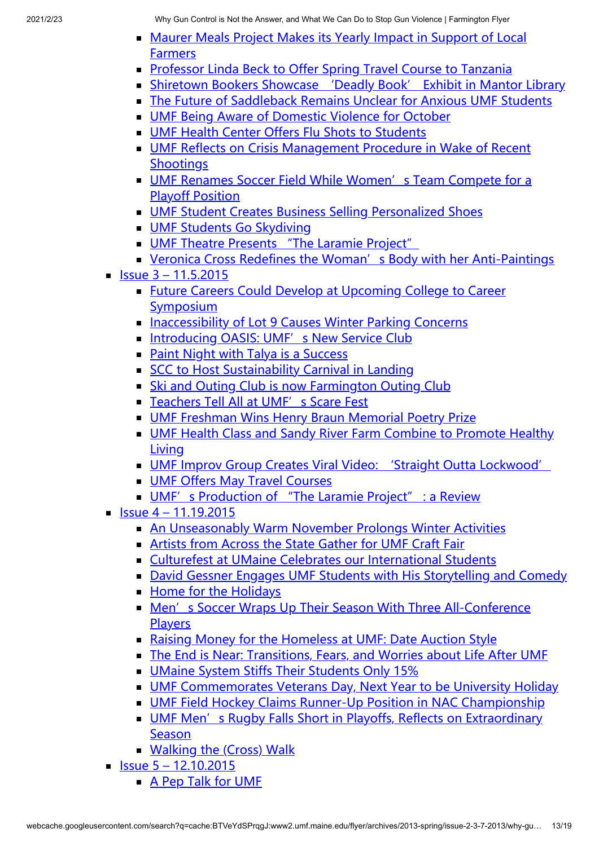- **[Maurer Meals Project Makes its Yearly Impact in Support of Local](http://www2.umf.maine.edu/flyer/archives/2015-fall/issue-2-10-22-2015/maurer-meals-project-makes-its-yearly-impact-in-support-of-local-farmers/) Farmers**
- **[Professor Linda Beck to Offer Spring Travel Course to Tanzania](http://www2.umf.maine.edu/flyer/archives/2015-fall/issue-2-10-22-2015/professor-linda-beck-to-offer-spring-travel-course-to-tanzania/)**
- [Shiretown Bookers Showcase 'Deadly Book' Exhibit in Mantor Library](http://www2.umf.maine.edu/flyer/archives/2015-fall/issue-2-10-22-2015/shiretown-bookers-showcase-deadly-book-exhibit-in-mantor-library/)
- [The Future of Saddleback Remains Unclear for Anxious UMF Students](http://www2.umf.maine.edu/flyer/archives/2015-fall/issue-2-10-22-2015/the-future-of-saddleback-remains-unclear-for-anxious-umf-students/)
- **[UMF Being Aware of Domestic Violence for October](http://www2.umf.maine.edu/flyer/archives/2015-fall/issue-2-10-22-2015/umf-being-aware-of-domestic-violence-for-october/)**
- **[UMF Health Center Offers Flu Shots to Students](http://www2.umf.maine.edu/flyer/archives/2015-fall/issue-2-10-22-2015/umf-health-center-offers-flu-shots-to-students/)**
- [UMF Reflects on Crisis Management Procedure in Wake of Recent](http://www2.umf.maine.edu/flyer/archives/2015-fall/issue-2-10-22-2015/umf-reflects-on-crisis-management-procedure-in-wake-of-recent-shootings/) **Shootings**
- [UMF Renames Soccer Field While Women's Team Compete for a](http://www2.umf.maine.edu/flyer/archives/2015-fall/issue-2-10-22-2015/umf-renames-soccer-field-while-womens-team-compete-for-a-playoff-position/) Playoff Position
- **[UMF Student Creates Business Selling Personalized Shoes](http://www2.umf.maine.edu/flyer/archives/2015-fall/issue-2-10-22-2015/umf-student-creates-business-selling-personalized-shoes/)**
- **[UMF Students Go Skydiving](http://www2.umf.maine.edu/flyer/archives/2015-fall/issue-2-10-22-2015/umf-students-go-skydiving/)**
- **UMF Theatre Presents** "The Laramie Project"
- [Veronica Cross Redefines the Woman's Body with her Anti-Paintings](http://www2.umf.maine.edu/flyer/archives/2015-fall/issue-2-10-22-2015/veronica-cross-redefines-the-womans-body-with-her-anti-paintings/)
- $\blacksquare$  [Issue 3 11.5.2015](http://www2.umf.maine.edu/flyer/archives/2015-fall/issue-3-11-5-2015/)
	- [Future Careers Could Develop at Upcoming College to Career](http://www2.umf.maine.edu/flyer/archives/2015-fall/issue-3-11-5-2015/future-careers-could-develop-at-upcoming-college-to-career-symposium/) Symposium
	- [Inaccessibility of Lot 9 Causes Winter Parking Concerns](http://www2.umf.maine.edu/flyer/archives/2015-fall/issue-3-11-5-2015/inaccessibility-of-lot-9-causes-winter-parking-concerns/)
	- [Introducing OASIS: UMF's New Service Club](http://www2.umf.maine.edu/flyer/archives/2015-fall/issue-3-11-5-2015/introducing-oasis-umfs-new-service-club/)
	- **[Paint Night with Talya is a Success](http://www2.umf.maine.edu/flyer/archives/2015-fall/issue-3-11-5-2015/paint-night-with-talya-is-a-success/)**
	- [SCC to Host Sustainability Carnival in Landing](http://www2.umf.maine.edu/flyer/archives/2015-fall/issue-3-11-5-2015/scc-to-host-sustainability-carnival-in-landing/)
	- **[Ski and Outing Club is now Farmington Outing Club](http://www2.umf.maine.edu/flyer/archives/2015-fall/issue-3-11-5-2015/ski-and-outing-club-is-now-farmington-outing-club/)**
	- [Teachers Tell All at UMF's Scare Fest](http://www2.umf.maine.edu/flyer/archives/2015-fall/issue-3-11-5-2015/teachers-tell-all-at-umfs-scare-fest/)
	- [UMF Freshman Wins Henry Braun Memorial Poetry Prize](http://www2.umf.maine.edu/flyer/archives/2015-fall/issue-3-11-5-2015/umf-freshman-wins-henry-braun-memorial-poetry-prize/)
	- **[UMF Health Class and Sandy River Farm Combine to Promote Healthy](http://www2.umf.maine.edu/flyer/archives/2015-fall/issue-3-11-5-2015/umf-health-class-and-sandy-river-farm-combine-to-promote-healthy-living/)** Living
	- **[UMF Improv Group Creates Viral Video: 'Straight Outta Lockwood'](http://www2.umf.maine.edu/flyer/archives/2015-fall/issue-3-11-5-2015/umf-improv-group-creates-viral-video-straight-outta-lockwood/)**
	- **[UMF Offers May Travel Courses](http://www2.umf.maine.edu/flyer/archives/2015-fall/issue-3-11-5-2015/umf-offers-may-travel-courses/)**
	- [UMF's Production of "The Laramie Project" : a Review](http://www2.umf.maine.edu/flyer/archives/2015-fall/issue-3-11-5-2015/umfs-production-of-the-laramie-project-a-review/)
- $\blacksquare$  [Issue 4 11.19.2015](http://www2.umf.maine.edu/flyer/archives/2015-fall/issue-4-11-19-2015/)
	- [An Unseasonably Warm November Prolongs Winter Activities](http://www2.umf.maine.edu/flyer/archives/2015-fall/issue-4-11-19-2015/an-unseasonably-warm-november-prolongs-winter-activities/)
	- [Artists from Across the State Gather for UMF Craft Fair](http://www2.umf.maine.edu/flyer/archives/2015-fall/issue-4-11-19-2015/artists-from-across-the-state-gather-for-umf-craft-fair/)
	- [Culturefest at UMaine Celebrates our International Students](http://www2.umf.maine.edu/flyer/archives/2015-fall/issue-4-11-19-2015/culturefest-at-umaine-celebrates-our-international-students/)
	- [David Gessner Engages UMF Students with His Storytelling and Comedy](http://www2.umf.maine.edu/flyer/archives/2015-fall/issue-4-11-19-2015/david-gessner-engages-umf-students-with-his-storytelling-and-comedy/)
	- [Home for the Holidays](http://www2.umf.maine.edu/flyer/archives/2015-fall/issue-4-11-19-2015/home-for-the-holidays/)
	- [Men's Soccer Wraps Up Their Season With Three All-Conference](http://www2.umf.maine.edu/flyer/archives/2015-fall/issue-4-11-19-2015/mens-soccer-wraps-up-their-season-with-three-all-conference-players/) Players
	- [Raising Money for the Homeless at UMF: Date Auction Style](http://www2.umf.maine.edu/flyer/archives/2015-fall/issue-4-11-19-2015/raising-money-for-the-homeless-at-umf-date-auction-style/)
	- [The End is Near: Transitions, Fears, and Worries about Life After UMF](http://www2.umf.maine.edu/flyer/archives/2015-fall/issue-4-11-19-2015/the-end-is-near-transitions-fears-and-worries-about-life-after-umf/)
	- **[UMaine System Stiffs Their Students Only 15%](http://www2.umf.maine.edu/flyer/archives/2015-fall/issue-4-11-19-2015/umaine-system-stiffs-their-students-only-15/)**
	- [UMF Commemorates Veterans Day, Next Year to be University Holiday](http://www2.umf.maine.edu/flyer/archives/2015-fall/issue-4-11-19-2015/umf-commemorates-veterans-day-next-year-to-be-university-holiday/)
	- **[UMF Field Hockey Claims Runner-Up Position in NAC Championship](http://www2.umf.maine.edu/flyer/archives/2015-fall/issue-4-11-19-2015/umf-field-hockey-claims-runner-up-position-in-nac-championship/)**
	- [UMF Men's Rugby Falls Short in Playoffs, Reflects on Extraordinary](http://www2.umf.maine.edu/flyer/archives/2015-fall/issue-4-11-19-2015/umf-mens-rugby-falls-short-in-playoffs-reflects-on-extraordinary-season/) **Season**
	- **[Walking the \(Cross\) Walk](http://www2.umf.maine.edu/flyer/archives/2015-fall/issue-4-11-19-2015/walking-the-cross-walk/)**
- $\blacksquare$  [Issue 5 12.10.2015](http://www2.umf.maine.edu/flyer/archives/2015-fall/issue-5-12-10-2015/)
	- [A Pep Talk for UMF](http://www2.umf.maine.edu/flyer/archives/2015-fall/issue-5-12-10-2015/a-pep-talk-for-umf/)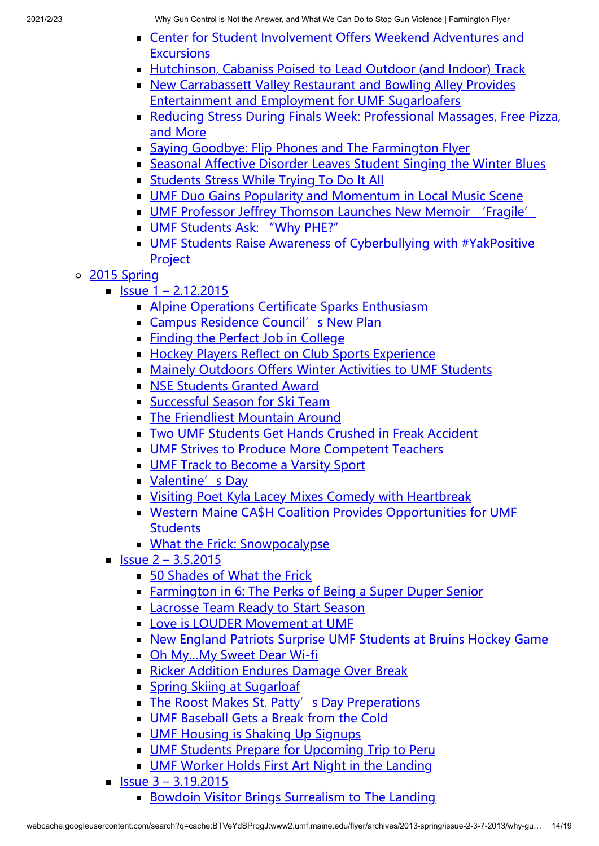- **Example 2 [Center for Student Involvement Offers Weekend Adventures and](http://www2.umf.maine.edu/flyer/archives/2015-fall/issue-5-12-10-2015/center-for-student-involvement-offers-weekend-adventures-and-excursions/) Excursions**
- **[Hutchinson, Cabaniss Poised to Lead Outdoor \(and Indoor\) Track](http://www2.umf.maine.edu/flyer/archives/2015-fall/issue-5-12-10-2015/hutchinson-cabaniss-poised-to-lead-outdoor-and-indoor-track/)**
- [New Carrabassett Valley Restaurant and Bowling Alley Provides](http://www2.umf.maine.edu/flyer/archives/2015-fall/issue-5-12-10-2015/new-carrabassett-valley-restaurant-and-bowling-alley-provides-entertainment-and-employment-for-umf-sugarloafers/) Entertainment and Employment for UMF Sugarloafers
- [Reducing Stress During Finals Week: Professional Massages, Free Pizza,](http://www2.umf.maine.edu/flyer/archives/2015-fall/issue-5-12-10-2015/reducing-stress-during-finals-week-professional-massages-free-pizza-and-more/) and More
- [Saying Goodbye: Flip Phones and The Farmington Flyer](http://www2.umf.maine.edu/flyer/archives/2015-fall/issue-5-12-10-2015/saying-goodbye-flip-phones-and-the-farmington-flyer/)
- [Seasonal Affective Disorder Leaves Student Singing the Winter Blues](http://www2.umf.maine.edu/flyer/archives/2015-fall/issue-5-12-10-2015/seasonal-affective-disorder-leaves-student-singing-the-winter-blues/)
- **[Students Stress While Trying To Do It All](http://www2.umf.maine.edu/flyer/archives/2015-fall/issue-5-12-10-2015/students-stress-while-trying-to-do-it-all/)**
- **[UMF Duo Gains Popularity and Momentum in Local Music Scene](http://www2.umf.maine.edu/flyer/archives/2015-fall/issue-5-12-10-2015/umf-duo-gains-popularity-and-momentum-in-local-music-scene/)**
- **[UMF Professor Jeffrey Thomson Launches New Memoir 'Fragile'](http://www2.umf.maine.edu/flyer/archives/2015-fall/issue-5-12-10-2015/umf-professor-jeffrey-thomson-launches-new-memoir-fragile/)**
- **[UMF Students Ask: "Why PHE?"](http://www2.umf.maine.edu/flyer/archives/2015-fall/issue-5-12-10-2015/umf-students-ask-why-phe/)**
- **[UMF Students Raise Awareness of Cyberbullying with #YakPositive](http://www2.umf.maine.edu/flyer/archives/2015-fall/issue-5-12-10-2015/umf-students-raise-awareness-of-cyberbullying-with-yakpositive-project/) Project**
- [2015 Spring](http://www2.umf.maine.edu/flyer/archives/2015-spring/)
	- $\blacksquare$  [Issue 1 2.12.2015](http://www2.umf.maine.edu/flyer/archives/2015-spring/issue-1-2-12-2015/)
		- **[Alpine Operations Certificate Sparks Enthusiasm](http://www2.umf.maine.edu/flyer/archives/2015-spring/issue-1-2-12-2015/alpine-operations-certificate-sparks-enthusiasm/)**
		- **Exampus Residence Council's New Plan**
		- **[Finding the Perfect Job in College](http://www2.umf.maine.edu/flyer/archives/2015-spring/issue-1-2-12-2015/finding-the-perfect-job-in-college/)**
		- **[Hockey Players Reflect on Club Sports Experience](http://www2.umf.maine.edu/flyer/archives/2015-spring/issue-1-2-12-2015/hockey-players-reflect-on-club-sports-experience/)**
		- [Mainely Outdoors Offers Winter Activities to UMF Students](http://www2.umf.maine.edu/flyer/archives/2015-spring/issue-1-2-12-2015/mainely-outdoors-offers-winter-activities-to-umf-students/)
		- **[NSE Students Granted Award](http://www2.umf.maine.edu/flyer/archives/2015-spring/issue-1-2-12-2015/nse-students-granted-award/)**
		- **[Successful Season for Ski Team](http://www2.umf.maine.edu/flyer/archives/2015-spring/issue-1-2-12-2015/successful-season-for-ski-team/)**
		- **[The Friendliest Mountain Around](http://www2.umf.maine.edu/flyer/archives/2015-spring/issue-1-2-12-2015/the-friendliest-mountain-around/)**
		- **[Two UMF Students Get Hands Crushed in Freak Accident](http://www2.umf.maine.edu/flyer/archives/2015-spring/issue-1-2-12-2015/two-umf-students-get-hands-crushed-in-freak-accident/)**
		- **[UMF Strives to Produce More Competent Teachers](http://www2.umf.maine.edu/flyer/archives/2015-spring/issue-1-2-12-2015/umf-strives-to-produce-more-competent-teachers/)**
		- **[UMF Track to Become a Varsity Sport](http://www2.umf.maine.edu/flyer/archives/2015-spring/issue-1-2-12-2015/umf-track-to-become-a-varsity-sport/)**
		- **[Valentine's Day](http://www2.umf.maine.edu/flyer/archives/2015-spring/issue-1-2-12-2015/valentines-day/)**
		- **Example 2 [Visiting Poet Kyla Lacey Mixes Comedy with Heartbreak](http://www2.umf.maine.edu/flyer/archives/2015-spring/issue-1-2-12-2015/visiting-poet-kyla-lacey-mixes-comedy-with-heartbreak/)**
		- [Western Maine CA\\$H Coalition Provides Opportunities for UMF](http://www2.umf.maine.edu/flyer/archives/2015-spring/issue-1-2-12-2015/western-maine-cah-coalition-provides-opportunities-for-umf-students/) **Students**
		- **[What the Frick: Snowpocalypse](http://www2.umf.maine.edu/flyer/archives/2015-spring/issue-1-2-12-2015/what-the-frick-snowpocalypse/)**
	- $\blacksquare$  [Issue 2 3.5.2015](http://www2.umf.maine.edu/flyer/archives/2015-spring/issue-2-3-5-2015/)
		- **[50 Shades of What the Frick](http://www2.umf.maine.edu/flyer/archives/2015-spring/issue-2-3-5-2015/50-shades-of-what-the-frick/)**
		- [Farmington in 6: The Perks of Being a Super Duper Senior](http://www2.umf.maine.edu/flyer/archives/2015-spring/issue-2-3-5-2015/farmington-in-6-the-perks-of-being-a-super-duper-senior/)
		- [Lacrosse Team Ready to Start Season](http://www2.umf.maine.edu/flyer/archives/2015-spring/issue-2-3-5-2015/lacrosse-team-ready-to-start-season/)
		- **[Love is LOUDER Movement at UMF](http://www2.umf.maine.edu/flyer/archives/2015-spring/issue-2-3-5-2015/love-is-louder-movement-at-umf/)**
		- [New England Patriots Surprise UMF Students at Bruins Hockey Game](http://www2.umf.maine.edu/flyer/archives/2015-spring/issue-2-3-5-2015/new-england-patriots-surprise-umf-students-at-bruins-hockey-game/)
		- Oh My...My Sweet Dear Wi-fi
		- [Ricker Addition Endures Damage Over Break](http://www2.umf.maine.edu/flyer/archives/2015-spring/issue-2-3-5-2015/ricker-addition-endures-damage-over-break/)
		- **[Spring Skiing at Sugarloaf](http://www2.umf.maine.edu/flyer/archives/2015-spring/issue-2-3-5-2015/spring-skiing-at-sugarloaf/)**
		- [The Roost Makes St. Patty's Day Preperations](http://www2.umf.maine.edu/flyer/archives/2015-spring/issue-2-3-5-2015/the-roost-makes-st-pattys-day-preperations/)
		- **[UMF Baseball Gets a Break from the Cold](http://www2.umf.maine.edu/flyer/archives/2015-spring/issue-2-3-5-2015/umf-baseball-gets-a-break-from-the-cold/)**
		- **[UMF Housing is Shaking Up Signups](http://www2.umf.maine.edu/flyer/archives/2015-spring/issue-2-3-5-2015/umf-housing-is-shaking-up-signups/)**
		- **[UMF Students Prepare for Upcoming Trip to Peru](http://www2.umf.maine.edu/flyer/archives/2015-spring/issue-2-3-5-2015/umf-students-prepare-for-upcoming-trip-to-peru/)**
		- **[UMF Worker Holds First Art Night in the Landing](http://www2.umf.maine.edu/flyer/archives/2015-spring/issue-2-3-5-2015/umf-worker-holds-first-art-night-in-the-landing/)**
	- $\blacksquare$  [Issue 3 3.19.2015](http://www2.umf.maine.edu/flyer/archives/2015-spring/issue-3-3-19-2015/)
		- [Bowdoin Visitor Brings Surrealism to The Landing](http://www2.umf.maine.edu/flyer/archives/2015-spring/issue-3-3-19-2015/bowdoin-visitor-brings-surrealism-to-the-landing/)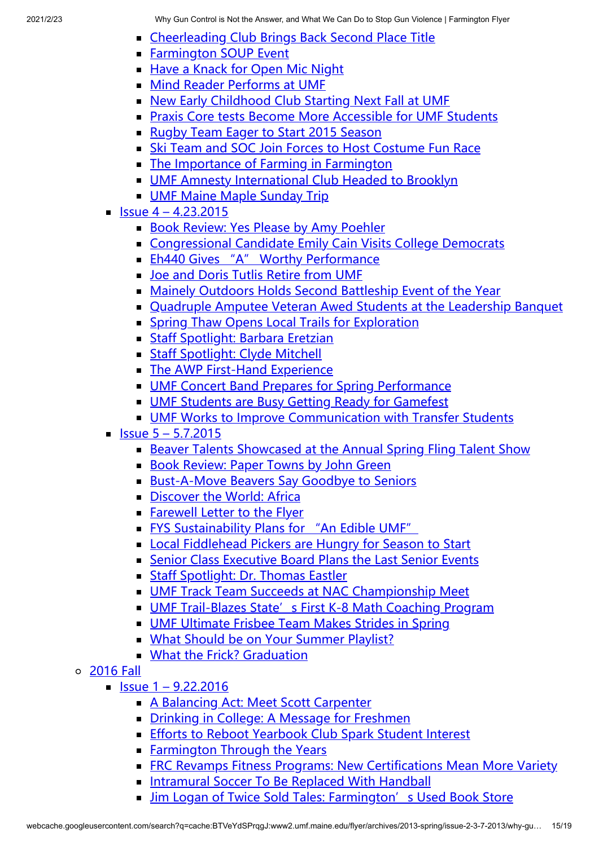- **Example 2** [Cheerleading Club Brings Back Second Place Title](http://www2.umf.maine.edu/flyer/archives/2015-spring/issue-3-3-19-2015/cheerleading-club-brings-back-second-place-title/)
- **[Farmington SOUP Event](http://www2.umf.maine.edu/flyer/archives/2015-spring/issue-3-3-19-2015/farmington-soup-event/)**
- [Have a Knack for Open Mic Night](http://www2.umf.maine.edu/flyer/archives/2015-spring/issue-3-3-19-2015/have-a-knack-for-open-mic-night/)
- **[Mind Reader Performs at UMF](http://www2.umf.maine.edu/flyer/archives/2015-spring/issue-3-3-19-2015/mind-reader-performs-at-umf/)**
- [New Early Childhood Club Starting Next Fall at UMF](http://www2.umf.maine.edu/flyer/archives/2015-spring/issue-3-3-19-2015/new-early-childhood-club-starting-next-fall-at-umf/)
- **[Praxis Core tests Become More Accessible for UMF Students](http://www2.umf.maine.edu/flyer/archives/2015-spring/issue-3-3-19-2015/praxis-core-tests-become-more-accessible-for-umf-students/)**
- [Rugby Team Eager to Start 2015 Season](http://www2.umf.maine.edu/flyer/archives/2015-spring/issue-3-3-19-2015/rugby-team-eager-to-start-2015-season/)
- [Ski Team and SOC Join Forces to Host Costume Fun Race](http://www2.umf.maine.edu/flyer/archives/2015-spring/issue-3-3-19-2015/ski-team-and-soc-join-forces-to-host-costume-fun-race/)
- [The Importance of Farming in Farmington](http://www2.umf.maine.edu/flyer/archives/2015-spring/issue-3-3-19-2015/the-importance-of-farming-in-farmington/)
- **[UMF Amnesty International Club Headed to Brooklyn](http://www2.umf.maine.edu/flyer/archives/2015-spring/issue-3-3-19-2015/umf-amnesty-international-club-headed-to-brooklyn/)**
- **[UMF Maine Maple Sunday Trip](http://www2.umf.maine.edu/flyer/archives/2015-spring/issue-3-3-19-2015/umf-maine-maple-sunday-trip/)**
- $\blacksquare$  [Issue 4 4.23.2015](http://www2.umf.maine.edu/flyer/archives/2015-spring/issue-4-4-23-2015/)
	- [Book Review: Yes Please by Amy Poehler](http://www2.umf.maine.edu/flyer/archives/2015-spring/issue-4-4-23-2015/book-review-yes-please-by-amy-poehler/)
	- **[Congressional Candidate Emily Cain Visits College Democrats](http://www2.umf.maine.edu/flyer/archives/2015-spring/issue-4-4-23-2015/congressional-candidate-emily-cain-visits-college-democrats/)**
	- **[Eh440 Gives "A" Worthy Performance](http://www2.umf.maine.edu/flyer/archives/2015-spring/issue-4-4-23-2015/eh440-gives-a-worthy-performance/)**
	- **[Joe and Doris Tutlis Retire from UMF](http://www2.umf.maine.edu/flyer/archives/2015-spring/issue-4-4-23-2015/joe-and-doris-tutlis-retire-from-umf/)**
	- [Mainely Outdoors Holds Second Battleship Event of the Year](http://www2.umf.maine.edu/flyer/archives/2015-spring/issue-4-4-23-2015/mainely-outdoors-holds-second-battleship-event-of-the-year/)
	- [Quadruple Amputee Veteran Awed Students at the Leadership Banquet](http://www2.umf.maine.edu/flyer/archives/2015-spring/issue-4-4-23-2015/quadruple-amputee-veteran-awed-students-at-the-leadership-banquet/)
	- **[Spring Thaw Opens Local Trails for Exploration](http://www2.umf.maine.edu/flyer/archives/2015-spring/issue-4-4-23-2015/spring-thaw-opens-local-trails-for-exploration/)**
	- **[Staff Spotlight: Barbara Eretzian](http://www2.umf.maine.edu/flyer/archives/2015-spring/issue-4-4-23-2015/staff-spotlight-barbara-eretzian/)**
	- **[Staff Spotlight: Clyde Mitchell](http://www2.umf.maine.edu/flyer/archives/2015-spring/issue-4-4-23-2015/staff-spotlight-clyde-mitchell/)**
	- **[The AWP First-Hand Experience](http://www2.umf.maine.edu/flyer/archives/2015-spring/issue-4-4-23-2015/the-awp-first-hand-experience/)**
	- **[UMF Concert Band Prepares for Spring Performance](http://www2.umf.maine.edu/flyer/archives/2015-spring/issue-4-4-23-2015/umf-concert-band-prepares-for-spring-performance/)**
	- **[UMF Students are Busy Getting Ready for Gamefest](http://www2.umf.maine.edu/flyer/archives/2015-spring/issue-4-4-23-2015/umf-students-are-busy-getting-ready-for-gamefest/)**
	- [UMF Works to Improve Communication with Transfer Students](http://www2.umf.maine.edu/flyer/archives/2015-spring/issue-4-4-23-2015/umf-works-to-improve-communication-with-transfer-students/)
- $\blacksquare$  Issue  $5 5.7.2015$ 
	- [Beaver Talents Showcased at the Annual Spring Fling Talent Show](http://www2.umf.maine.edu/flyer/archives/2015-spring/issue-5-5-7-2015/beaver-talents-showcased-at-the-annual-spring-fling-talent-show/)
	- **[Book Review: Paper Towns by John Green](http://www2.umf.maine.edu/flyer/archives/2015-spring/issue-5-5-7-2015/book-review-paper-towns-by-john-green/)**
	- [Bust-A-Move Beavers Say Goodbye to Seniors](http://www2.umf.maine.edu/flyer/archives/2015-spring/issue-5-5-7-2015/bust-a-move-beavers-say-goodbye-to-seniors/)
	- [Discover the World: Africa](http://www2.umf.maine.edu/flyer/archives/2015-spring/issue-5-5-7-2015/discover-the-world-africa/)
	- **[Farewell Letter to the Flyer](http://www2.umf.maine.edu/flyer/archives/2015-spring/issue-5-5-7-2015/farewell-letter-to-the-flyer/)**
	- [FYS Sustainability Plans for "An Edible UMF"](http://www2.umf.maine.edu/flyer/archives/2015-spring/issue-5-5-7-2015/fys-sustainability-plans-for-an-edible-umf/)
	- **[Local Fiddlehead Pickers are Hungry for Season to Start](http://www2.umf.maine.edu/flyer/archives/2015-spring/issue-5-5-7-2015/local-fiddlehead-pickers-are-hungry-for-season-to-start/)**
	- [Senior Class Executive Board Plans the Last Senior Events](http://www2.umf.maine.edu/flyer/archives/2015-spring/issue-5-5-7-2015/senior-class-executive-board-plans-the-last-senior-events/)
	- **[Staff Spotlight: Dr. Thomas Eastler](http://www2.umf.maine.edu/flyer/archives/2015-spring/issue-5-5-7-2015/staff-spotlight-dr-thomas-eastler/)**
	- **[UMF Track Team Succeeds at NAC Championship Meet](http://www2.umf.maine.edu/flyer/archives/2015-spring/issue-5-5-7-2015/umf-track-team-succeeds-at-nac-championship-meet/)**
	- **[UMF Trail-Blazes State's First K-8 Math Coaching Program](http://www2.umf.maine.edu/flyer/archives/2015-spring/issue-5-5-7-2015/umf-trail-blazes-stats-first-k-8-math-coaching-program/)**
	- **[UMF Ultimate Frisbee Team Makes Strides in Spring](http://www2.umf.maine.edu/flyer/archives/2015-spring/issue-5-5-7-2015/umf-ultimate-frisbee-team-makes-strides-in-spring/)**
	- [What Should be on Your Summer Playlist?](http://www2.umf.maine.edu/flyer/archives/2015-spring/issue-5-5-7-2015/what-should-be-on-your-summer-playlist/)
	- **[What the Frick? Graduation](http://www2.umf.maine.edu/flyer/archives/2015-spring/issue-5-5-7-2015/what-the-frick-graduation/)**
- [2016 Fall](http://www2.umf.maine.edu/flyer/archives/2016-fall/)
	- $\blacksquare$  [Issue 1 9.22.2016](http://www2.umf.maine.edu/flyer/archives/2016-fall/issue-1-9-22-2016/)
		- **[A Balancing Act: Meet Scott Carpenter](http://www2.umf.maine.edu/flyer/archives/2016-fall/issue-1-9-22-2016/a-balancing-act-meet-scott-carpenter/)**
		- **[Drinking in College: A Message for Freshmen](http://www2.umf.maine.edu/flyer/archives/2016-fall/issue-1-9-22-2016/drinking-in-college-a-message-for-freshmen/)**
		- **[Efforts to Reboot Yearbook Club Spark Student Interest](http://www2.umf.maine.edu/flyer/archives/2016-fall/issue-1-9-22-2016/efforts-to-reboot-yearbook-club-spark-student-interest/)**
		- **[Farmington Through the Years](http://www2.umf.maine.edu/flyer/archives/2016-fall/issue-1-9-22-2016/farmington-through-the-years/)**
		- **[FRC Revamps Fitness Programs: New Certifications Mean More Variety](http://www2.umf.maine.edu/flyer/archives/2016-fall/issue-1-9-22-2016/frc-revamps-fitness-programs-new-certifications-mean-more-variety/)**
		- **[Intramural Soccer To Be Replaced With Handball](http://www2.umf.maine.edu/flyer/archives/2016-fall/issue-1-9-22-2016/intramural-soccer-to-be-replaced-with-handball/)**
		- I [Jim Logan of Twice Sold Tales: Farmington's Used Book Store](http://www2.umf.maine.edu/flyer/archives/2016-fall/issue-1-9-22-2016/jim-logan-of-twice-sold-tales-farmingtons-used-book-store/)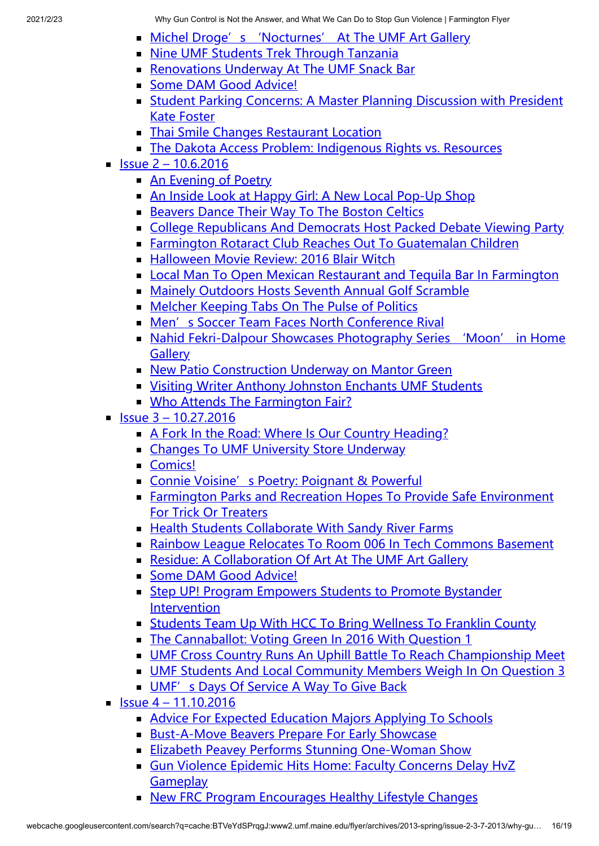- **[Michel Droge's 'Nocturnes' At The UMF Art Gallery](http://www2.umf.maine.edu/flyer/archives/2016-fall/issue-1-9-22-2016/michel-droges-nocturnes-at-the-umf-art-gallery/)**
- **[Nine UMF Students Trek Through Tanzania](http://www2.umf.maine.edu/flyer/archives/2016-fall/issue-1-9-22-2016/nine-umf-students-trek-through-tanzania/)**
- **[Renovations Underway At The UMF Snack Bar](http://www2.umf.maine.edu/flyer/archives/2016-fall/issue-1-9-22-2016/renovations-underway-at-the-umf-snack-bar/)**
- [Some DAM Good Advice!](http://www2.umf.maine.edu/flyer/archives/2016-fall/issue-1-9-22-2016/some-dam-good-advice-5/)
- **[Student Parking Concerns: A Master Planning Discussion with President](http://www2.umf.maine.edu/flyer/archives/2016-fall/issue-1-9-22-2016/student-parking-concerns-a-master-planning-discussion-with-president-kate-foster/)** Kate Foster
- **[Thai Smile Changes Restaurant Location](http://www2.umf.maine.edu/flyer/archives/2016-fall/issue-1-9-22-2016/thai-smile-changes-restaurant-locations/)**
- [The Dakota Access Problem: Indigenous Rights vs. Resources](http://www2.umf.maine.edu/flyer/archives/2016-fall/issue-1-9-22-2016/the-dakota-access-problem-indigenous-rights-vs-resources/)
- $\blacksquare$  [Issue 2 10.6.2016](http://www2.umf.maine.edu/flyer/archives/2016-fall/issue-2-10-6-2016/)
	- **[An Evening of Poetry](http://www2.umf.maine.edu/flyer/archives/2016-fall/issue-2-10-6-2016/an-evening-of-poetry/)**
	- [An Inside Look at Happy Girl: A New Local Pop-Up Shop](http://www2.umf.maine.edu/flyer/archives/2016-fall/issue-2-10-6-2016/an-inside-look-at-happy-girl-a-new-local-pop-up-shop/)
	- **[Beavers Dance Their Way To The Boston Celtics](http://www2.umf.maine.edu/flyer/archives/2016-fall/issue-2-10-6-2016/beavers-dance-their-way-to-the-boston-celtics/)**
	- [College Republicans And Democrats Host Packed Debate Viewing Party](http://www2.umf.maine.edu/flyer/archives/2016-fall/issue-2-10-6-2016/college-republicans-and-democrats-host-packed-debate-viewing-party/)
	- [Farmington Rotaract Club Reaches Out To Guatemalan Children](http://www2.umf.maine.edu/flyer/archives/2016-fall/issue-2-10-6-2016/farmington-rotaract-club-reaches-out-to-guatemalan-children/)
	- **[Halloween Movie Review: 2016 Blair Witch](http://www2.umf.maine.edu/flyer/archives/2016-fall/issue-2-10-6-2016/halloween-movie-review-2016-blair-witch/)**
	- [Local Man To Open Mexican Restaurant and Tequila Bar In Farmington](http://www2.umf.maine.edu/flyer/archives/2016-fall/issue-2-10-6-2016/local-man-to-open-mexican-restaurant-and-tequila-bar-in-farmington/)
	- [Mainely Outdoors Hosts Seventh Annual Golf Scramble](http://www2.umf.maine.edu/flyer/archives/2016-fall/issue-2-10-6-2016/mainely-outdoors-hosts-seventh-annual-golf-scramble/)
	- **[Melcher Keeping Tabs On The Pulse of Politics](http://www2.umf.maine.edu/flyer/archives/2016-fall/issue-2-10-6-2016/melcher-keeping-tabs-on-the-pulse-of-politics/)**
	- [Men's Soccer Team Faces North Conference Rival](http://www2.umf.maine.edu/flyer/archives/2016-fall/issue-2-10-6-2016/mens-soccer-team-faces-north-conference-rival/)
	- [Nahid Fekri-Dalpour Showcases Photography Series 'Moon' in Home](http://www2.umf.maine.edu/flyer/archives/2016-fall/issue-2-10-6-2016/nahid-fekri-dalpour-showcases-photography-series-moon-in-home-gallery/) **Gallery**
	- [New Patio Construction Underway on Mantor Green](http://www2.umf.maine.edu/flyer/archives/2016-fall/issue-2-10-6-2016/new-patio-construction-underway-on-mantor-green/)
	- [Visiting Writer Anthony Johnston Enchants UMF Students](http://www2.umf.maine.edu/flyer/archives/2016-fall/issue-2-10-6-2016/visiting-writer-anthony-johnston-enchants-umf-students/)
	- **[Who Attends The Farmington Fair?](http://www2.umf.maine.edu/flyer/archives/2016-fall/issue-2-10-6-2016/who-attends-the-farmington-fair/)**
- $\blacksquare$  [Issue 3 10.27.2016](http://www2.umf.maine.edu/flyer/archives/2016-fall/issue-3-10-27-2016/)
	- [A Fork In the Road: Where Is Our Country Heading?](http://www2.umf.maine.edu/flyer/archives/2016-fall/issue-3-10-27-2016/a-fork-in-the-road-where-is-our-country-heading/)
	- **Examples To UMF University Store Underway**
	- [Comics!](http://www2.umf.maine.edu/flyer/archives/2016-fall/issue-3-10-27-2016/comics/)
	- [Connie Voisine's Poetry: Poignant & Powerful](http://www2.umf.maine.edu/flyer/archives/2016-fall/issue-3-10-27-2016/connie-voisines-poetry-poignant-powerful/)
	- **[Farmington Parks and Recreation Hopes To Provide Safe Environment](http://www2.umf.maine.edu/flyer/archives/2016-fall/issue-3-10-27-2016/farmington-parks-and-recreation-hopes-to-provide-safe-environment-for-trick-or-treaters/)** For Trick Or Treaters
	- [Health Students Collaborate With Sandy River Farms](http://www2.umf.maine.edu/flyer/archives/2016-fall/issue-3-10-27-2016/health-students-collaborate-with-sandy-river-farms/)
	- [Rainbow League Relocates To Room 006 In Tech Commons Basement](http://www2.umf.maine.edu/flyer/archives/2016-fall/issue-3-10-27-2016/rainbow-league-relocates-to-room-006-in-tech-commons-basement/)
	- [Residue: A Collaboration Of Art At The UMF Art Gallery](http://www2.umf.maine.edu/flyer/archives/2016-fall/issue-3-10-27-2016/residue-a-collaboration-of-art-at-the-umf-art-gallery/)
	- [Some DAM Good Advice!](http://www2.umf.maine.edu/flyer/archives/2016-fall/issue-3-10-27-2016/some-dam-good-advice-6/)
	- [Step UP! Program Empowers Students to Promote Bystander](http://www2.umf.maine.edu/flyer/archives/2016-fall/issue-3-10-27-2016/step-up-program-empowers-students-to-promote-bystander-intervention/) **Intervention**
	- [Students Team Up With HCC To Bring Wellness To Franklin County](http://www2.umf.maine.edu/flyer/archives/2016-fall/issue-3-10-27-2016/students-team-up-with-hcc-to-bring-wellness-to-franklin-county/)
	- [The Cannaballot: Voting Green In 2016 With Question 1](http://www2.umf.maine.edu/flyer/archives/2016-fall/issue-3-10-27-2016/the-cannaballot-voting-green-in-2016-with-question-1/)
	- [UMF Cross Country Runs An Uphill Battle To Reach Championship Meet](http://www2.umf.maine.edu/flyer/archives/2016-fall/issue-3-10-27-2016/umf-cross-country-runs-an-uphill-battle-to-reach-championship-meet/)
	- [UMF Students And Local Community Members Weigh In On Question 3](http://www2.umf.maine.edu/flyer/archives/2016-fall/issue-3-10-27-2016/umf-students-and-local-community-members-weigh-in-on-question-3/)
	- [UMF's Days Of Service A Way To Give Back](http://www2.umf.maine.edu/flyer/archives/2016-fall/issue-3-10-27-2016/umfs-days-of-service-a-way-to-give-back/)
- $\blacksquare$  [Issue 4 11.10.2016](http://www2.umf.maine.edu/flyer/archives/2016-fall/issue-4-11-10-2016/)
	- [Advice For Expected Education Majors Applying To Schools](http://www2.umf.maine.edu/flyer/archives/2016-fall/issue-4-11-10-2016/advice-for-expected-education-majors-applying-to-schools/)
	- [Bust-A-Move Beavers Prepare For Early Showcase](http://www2.umf.maine.edu/flyer/archives/2016-fall/issue-4-11-10-2016/bust-a-move-beavers-prepare-for-early-showcase/)
	- **[Elizabeth Peavey Performs Stunning One-Woman Show](http://www2.umf.maine.edu/flyer/archives/2016-fall/issue-4-11-10-2016/elizabeth-peavey-performs-stunning-one-woman-show/)**
	- [Gun Violence Epidemic Hits Home: Faculty Concerns Delay HvZ](http://www2.umf.maine.edu/flyer/archives/2016-fall/issue-4-11-10-2016/gun-violence-epidemic-hits-home-faculty-concerns-delay-hvz-gameplay/) **Gameplay**
	- [New FRC Program Encourages Healthy Lifestyle Changes](http://www2.umf.maine.edu/flyer/archives/2016-fall/issue-4-11-10-2016/new-frc-program-encourages-people-to-make-smart-choices/)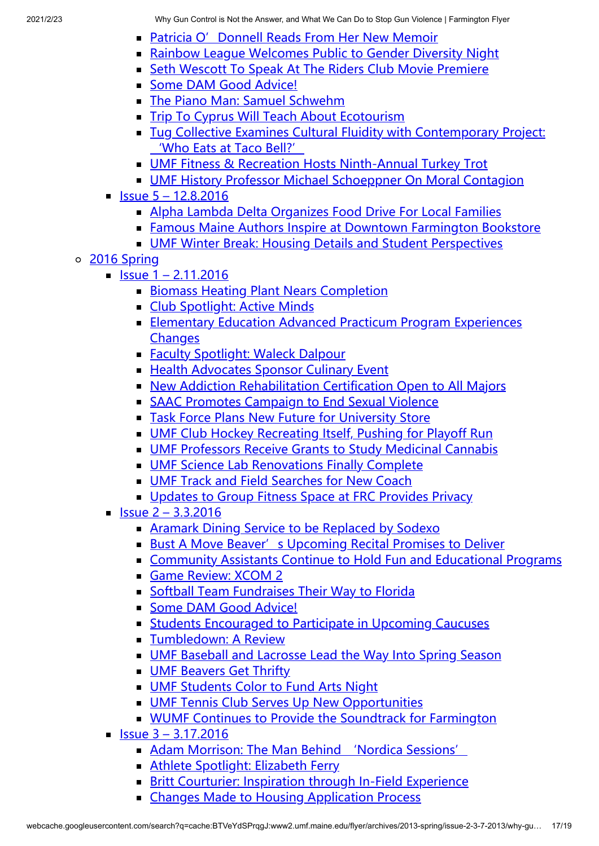- **Patricia O' Donnell Reads From Her New Memoir**
- **[Rainbow League Welcomes Public to Gender Diversity Night](http://www2.umf.maine.edu/flyer/archives/2016-fall/issue-4-11-10-2016/rainbow-league-welcomes-public-to-gender-diversity-night/)**
- [Seth Wescott To Speak At The Riders Club Movie Premiere](http://www2.umf.maine.edu/flyer/archives/2016-fall/issue-4-11-10-2016/seth-wescott-to-speak-at-the-riders-club-movie-premiere/)
- [Some DAM Good Advice!](http://www2.umf.maine.edu/flyer/archives/2016-fall/issue-4-11-10-2016/some-dam-good-advice-7/)
- **[The Piano Man: Samuel Schwehm](http://www2.umf.maine.edu/flyer/archives/2016-fall/issue-4-11-10-2016/the-piano-man-samuel-schwehm/)**
- [Trip To Cyprus Will Teach About Ecotourism](http://www2.umf.maine.edu/flyer/archives/2016-fall/issue-4-11-10-2016/trip-to-cyprus-will-teach-about-ecotourism/)
- **[Tug Collective Examines Cultural Fluidity with Contemporary Project:](http://www2.umf.maine.edu/flyer/archives/2016-fall/issue-4-11-10-2016/tug-collective-examines-cultural-fluidity-with-contemporary-project-who-eats-at-taco-bell/)** 'Who Eats at Taco Bell?'
- [UMF Fitness & Recreation Hosts Ninth-Annual Turkey Trot](http://www2.umf.maine.edu/flyer/archives/2016-fall/issue-4-11-10-2016/umf-fitness-recreation-hosts-ninth-annual-turkey-trot/)
- **[UMF History Professor Michael Schoeppner On Moral Contagion](http://www2.umf.maine.edu/flyer/archives/2016-fall/issue-4-11-10-2016/umf-history-professor-michael-schoeppner-on-moral-contagion/)**
- $\blacksquare$  [Issue 5 12.8.2016](http://www2.umf.maine.edu/flyer/archives/2016-fall/issue-5-12-8-2016/)
	- **[Alpha Lambda Delta Organizes Food Drive For Local Families](http://www2.umf.maine.edu/flyer/archives/2016-fall/issue-5-12-8-2016/alpha-lambda-delta-organizes-food-drive-for-local-families/)**
	- **[Famous Maine Authors Inspire at Downtown Farmington Bookstore](http://www2.umf.maine.edu/flyer/archives/2016-fall/issue-5-12-8-2016/famous-maine-authors-inspire-at-downtown-farmington-bookstore/)**
	- **[UMF Winter Break: Housing Details and Student Perspectives](http://www2.umf.maine.edu/flyer/archives/2016-fall/issue-5-12-8-2016/umf-winter-break-housing-details-and-student-perspectives/)**
- [2016 Spring](http://www2.umf.maine.edu/flyer/archives/2016-spring/)
	- $\blacksquare$  [Issue 1 2.11.2016](http://www2.umf.maine.edu/flyer/archives/2016-spring/issue-1-2-11-2016/)
		- **[Biomass Heating Plant Nears Completion](http://www2.umf.maine.edu/flyer/archives/2016-spring/issue-1-2-11-2016/biomass-heating-plant-nears-completion/)**
		- **[Club Spotlight: Active Minds](http://www2.umf.maine.edu/flyer/archives/2016-spring/issue-1-2-11-2016/club-spotlight-active-minds/)**
		- **[Elementary Education Advanced Practicum Program Experiences](http://www2.umf.maine.edu/flyer/archives/2016-spring/issue-1-2-11-2016/elementary-education-advanced-practicum-program-experiences-changes/) Changes**
		- **[Faculty Spotlight: Waleck Dalpour](http://www2.umf.maine.edu/flyer/archives/2016-spring/issue-1-2-11-2016/faculty-spotlight-waleck-dalpour/)**
		- **[Health Advocates Sponsor Culinary Event](http://www2.umf.maine.edu/flyer/archives/2016-spring/issue-1-2-11-2016/health-advocates-sponsor-culinary-event/)**
		- [New Addiction Rehabilitation Certification Open to All Majors](http://www2.umf.maine.edu/flyer/archives/2016-spring/issue-1-2-11-2016/new-addiction-rehabilitation-certification-open-to-all-majors/)
		- [SAAC Promotes Campaign to End Sexual Violence](http://www2.umf.maine.edu/flyer/archives/2016-spring/issue-1-2-11-2016/saac-promotes-campaign-to-end-sexual-violence/)
		- **[Task Force Plans New Future for University Store](http://www2.umf.maine.edu/flyer/archives/2016-spring/issue-1-2-11-2016/task-force-plans-new-future-for-university-store/)**
		- **[UMF Club Hockey Recreating Itself, Pushing for Playoff Run](http://www2.umf.maine.edu/flyer/archives/2016-spring/issue-1-2-11-2016/umf-club-hockey-recreating-itself-pushing-for-playoff-run/)**
		- [UMF Professors Receive Grants to Study Medicinal Cannabis](http://www2.umf.maine.edu/flyer/archives/2016-spring/issue-1-2-11-2016/umf-professors-receive-grants-to-study-medicinal-cannabis/)
		- **[UMF Science Lab Renovations Finally Complete](http://www2.umf.maine.edu/flyer/archives/2016-spring/issue-1-2-11-2016/umf-science-lab-renovations-finally-complete/)**
		- **[UMF Track and Field Searches for New Coach](http://www2.umf.maine.edu/flyer/archives/2016-spring/issue-1-2-11-2016/umf-track-and-field-searches-for-new-coach/)**
		- **[Updates to Group Fitness Space at FRC Provides Privacy](http://www2.umf.maine.edu/flyer/archives/2016-spring/issue-1-2-11-2016/updates-to-group-fitness-space-at-frc-provides-privacy/)**
	- $\blacksquare$  [Issue 2 3.3.2016](http://www2.umf.maine.edu/flyer/archives/2016-spring/issue-2-3-3-2016/)
		- **[Aramark Dining Service to be Replaced by Sodexo](http://www2.umf.maine.edu/flyer/archives/2016-spring/issue-2-3-3-2016/aramark-dining-service-to-be-replaced-by-sodexo/)**
		- **[Bust A Move Beaver's Upcoming Recital Promises to Deliver](http://www2.umf.maine.edu/flyer/archives/2016-spring/issue-2-3-3-2016/bust-a-move-beavers-upcoming-recital-promises-to-deliver/)**
		- [Community Assistants Continue to Hold Fun and Educational Programs](http://www2.umf.maine.edu/flyer/archives/2016-spring/issue-2-3-3-2016/community-assistants-continue-to-hold-fun-and-educational-programs/)
		- [Game Review: XCOM 2](http://www2.umf.maine.edu/flyer/archives/2016-spring/issue-2-3-3-2016/game-review-xcom-2/)
		- **[Softball Team Fundraises Their Way to Florida](http://www2.umf.maine.edu/flyer/archives/2016-spring/issue-2-3-3-2016/softball-team-fundraises-their-way-to-florida/)**
		- [Some DAM Good Advice!](http://www2.umf.maine.edu/flyer/archives/2016-spring/issue-2-3-3-2016/some-dam-good-advice/)
		- **[Students Encouraged to Participate in Upcoming Caucuses](http://www2.umf.maine.edu/flyer/archives/2016-spring/issue-2-3-3-2016/students-encouraged-ro-participate-in-upcoming-caucuses/)**
		- **[Tumbledown: A Review](http://www2.umf.maine.edu/flyer/archives/2016-spring/issue-2-3-3-2016/tumbledown-a-review/)**
		- **[UMF Baseball and Lacrosse Lead the Way Into Spring Season](http://www2.umf.maine.edu/flyer/archives/2016-spring/issue-2-3-3-2016/umf-baseball-and-lacrosse-lead-the-way-into-spring-season/)**
		- **[UMF Beavers Get Thrifty](http://www2.umf.maine.edu/flyer/archives/2016-spring/issue-2-3-3-2016/umf-beavers-get-thrifty/)**
		- **[UMF Students Color to Fund Arts Night](http://www2.umf.maine.edu/flyer/archives/2016-spring/issue-2-3-3-2016/umf-students-color-to-fund-arts-night/)**
		- **[UMF Tennis Club Serves Up New Opportunities](http://www2.umf.maine.edu/flyer/archives/2016-spring/issue-2-3-3-2016/umf-tennis-club-serves-up-new-opportunities/)**
		- **[WUMF Continues to Provide the Soundtrack for Farmington](http://www2.umf.maine.edu/flyer/archives/2016-spring/issue-2-3-3-2016/wumf-continues-to-provide-the-soundtrack-for-farmington/)**
	- $\blacksquare$  [Issue 3 3.17.2016](http://www2.umf.maine.edu/flyer/archives/2016-spring/issue-3-3-17-2016/)
		- [Adam Morrison: The Man Behind 'Nordica Sessions'](http://www2.umf.maine.edu/flyer/archives/2016-spring/issue-3-3-17-2016/adam-morrison-the-man-behind-nordica-sessions/)
		- [Athlete Spotlight: Elizabeth Ferry](http://www2.umf.maine.edu/flyer/archives/2016-spring/issue-3-3-17-2016/athlete-spotlight-elizabeth-ferry/)
		- **[Britt Courturier: Inspiration through In-Field Experience](http://www2.umf.maine.edu/flyer/archives/2016-spring/issue-3-3-17-2016/britt-courturier-inspiration-through-in-field-experience/)**
		- **[Changes Made to Housing Application Process](http://www2.umf.maine.edu/flyer/archives/2016-spring/issue-3-3-17-2016/changes-made-to-housing-application-process/)**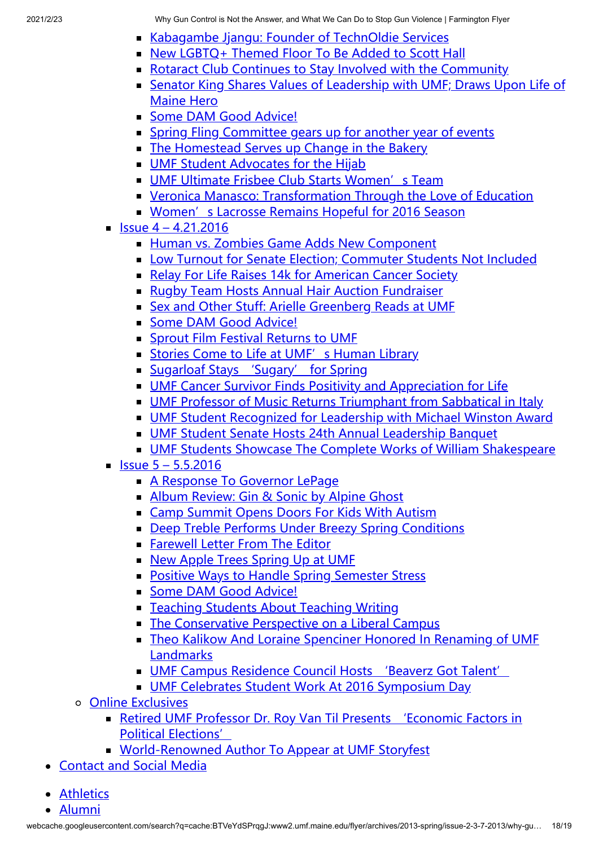- [Kabagambe Jjangu: Founder of TechnOldie Services](http://www2.umf.maine.edu/flyer/archives/2016-spring/issue-3-3-17-2016/kabagambe-jjangu-founder-of-technoldie-services/)
- [New LGBTQ+ Themed Floor To Be Added to Scott Hall](http://www2.umf.maine.edu/flyer/archives/2016-spring/issue-3-3-17-2016/new-lgbtq-themed-floor-to-be-added-to-scott-hall/)
- [Rotaract Club Continues to Stay Involved with the Community](http://www2.umf.maine.edu/flyer/archives/2016-spring/issue-3-3-17-2016/rotaract-club-continues-to-stay-involved-with-the-community/)
- **Example 2 [Senator King Shares Values of Leadership with UMF; Draws Upon Life of](http://www2.umf.maine.edu/flyer/archives/2016-spring/issue-3-3-17-2016/senator-king-shares-values-of-leadership-with-umf-draws-upon-life-of-maine-hero/)** Maine Hero
- [Some DAM Good Advice!](http://www2.umf.maine.edu/flyer/archives/2016-spring/issue-3-3-17-2016/some-dam-good-advice-2/)
- **[Spring Fling Committee gears up for another year of events](http://www2.umf.maine.edu/flyer/archives/2016-spring/issue-3-3-17-2016/spring-fling-committee-gears-up-for-another-year-of-events/)**
- [The Homestead Serves up Change in the Bakery](http://www2.umf.maine.edu/flyer/archives/2016-spring/issue-3-3-17-2016/the-homestead-serves-up-change-in-the-bakery/)
- **[UMF Student Advocates for the Hijab](http://www2.umf.maine.edu/flyer/archives/2016-spring/issue-3-3-17-2016/umf-student-advocates-for-the-hijab/)**
- **[UMF Ultimate Frisbee Club Starts Women's Team](http://www2.umf.maine.edu/flyer/archives/2016-spring/issue-3-3-17-2016/umf-ultimate-frisbee-club-starts-womens-team/)**
- **Example 2 [Veronica Manasco: Transformation Through the Love of Education](http://www2.umf.maine.edu/flyer/archives/2016-spring/issue-3-3-17-2016/veronica-manasco-transformation-through-the-love-of-education/)**
- **[Women's Lacrosse Remains Hopeful for 2016 Season](http://www2.umf.maine.edu/flyer/archives/2016-spring/issue-3-3-17-2016/womens-lacrosse-remains-hopeful-for-2016-season/)**
- $\blacksquare$  [Issue 4 4.21.2016](http://www2.umf.maine.edu/flyer/archives/2016-spring/issue-4-4-21-2016/)
	- **[Human vs. Zombies Game Adds New Component](http://www2.umf.maine.edu/flyer/archives/2016-spring/issue-4-4-21-2016/human-vs-zombies-game-adds-new-component/)**
	- [Low Turnout for Senate Election; Commuter Students Not Included](http://www2.umf.maine.edu/flyer/archives/2016-spring/issue-4-4-21-2016/low-turnout-for-senate-election-commuter-students-not-included/)
	- [Relay For Life Raises 14k for American Cancer Society](http://www2.umf.maine.edu/flyer/archives/2016-spring/issue-4-4-21-2016/relay-for-life-raises-14k-for-american-cancer-society/)
	- **[Rugby Team Hosts Annual Hair Auction Fundraiser](http://www2.umf.maine.edu/flyer/archives/2016-spring/issue-4-4-21-2016/rugby-team-hosts-annual-hair-auction-fundraiser/)**
	- [Sex and Other Stuff: Arielle Greenberg Reads at UMF](http://www2.umf.maine.edu/flyer/archives/2016-spring/issue-4-4-21-2016/sex-and-other-stuff-arielle-greenberg-reads-at-umf/)
	- [Some DAM Good Advice!](http://www2.umf.maine.edu/flyer/archives/2016-spring/issue-4-4-21-2016/some-dam-good-advice-3/)
	- **[Sprout Film Festival Returns to UMF](http://www2.umf.maine.edu/flyer/archives/2016-spring/issue-4-4-21-2016/sprout-film-festival-returns-to-umf/)**
	- [Stories Come to Life at UMF's Human Library](http://www2.umf.maine.edu/flyer/archives/2016-spring/issue-4-4-21-2016/stories-come-to-life-at-umfs-human-library/)
	- **Sugarloaf Stays** 'Sugary' for Spring
	- [UMF Cancer Survivor Finds Positivity and Appreciation for Life](http://www2.umf.maine.edu/flyer/archives/2016-spring/issue-4-4-21-2016/umf-cancer-survivor-finds-positivity-and-appreciation-for-life/)
	- [UMF Professor of Music Returns Triumphant from Sabbatical in Italy](http://www2.umf.maine.edu/flyer/archives/2016-spring/issue-4-4-21-2016/umf-professor-of-music-returns-triumphant-from-sabbatical-in-italy/)
	- [UMF Student Recognized for Leadership with Michael Winston Award](http://www2.umf.maine.edu/flyer/archives/2016-spring/issue-4-4-21-2016/umf-student-recognized-for-leadership-with-michael-winston-award/)
	- **[UMF Student Senate Hosts 24th Annual Leadership Banquet](http://www2.umf.maine.edu/flyer/archives/2016-spring/issue-4-4-21-2016/umf-student-senate-hosts-24th-annual-leadership-banquet/)**
	- **[UMF Students Showcase The Complete Works of William Shakespeare](http://www2.umf.maine.edu/flyer/archives/2016-spring/issue-4-4-21-2016/umf-students-showcase-the-complete-works-of-william-shakespeare/)**
- $\blacksquare$  Issue  $5 5.5.2016$ 
	- **[A Response To Governor LePage](http://www2.umf.maine.edu/flyer/archives/2016-spring/issue-5-5-5-2016/a-response-to-governor-lepage/)**
	- [Album Review: Gin & Sonic by Alpine Ghost](http://www2.umf.maine.edu/flyer/archives/2016-spring/issue-5-5-5-2016/album-review-gin-sonic-by-alpine-ghost/)
	- [Camp Summit Opens Doors For Kids With Autism](http://www2.umf.maine.edu/flyer/archives/2016-spring/issue-5-5-5-2016/camp-summit-opens-doors-for-kids-with-autism/)
	- [Deep Treble Performs Under Breezy Spring Conditions](http://www2.umf.maine.edu/flyer/archives/2016-spring/issue-5-5-5-2016/deep-treble-performs-under-breezy-spring-conditions/)
	- **[Farewell Letter From The Editor](http://www2.umf.maine.edu/flyer/archives/2016-spring/issue-5-5-5-2016/farewell-letter-from-the-editor/)**
	- [New Apple Trees Spring Up at UMF](http://www2.umf.maine.edu/flyer/archives/2016-spring/issue-5-5-5-2016/new-apple-trees-spring-up-at-umf/)
	- **[Positive Ways to Handle Spring Semester Stress](http://www2.umf.maine.edu/flyer/archives/2016-spring/issue-5-5-5-2016/positive-ways-to-handle-spring-semester-stress/)**
	- [Some DAM Good Advice!](http://www2.umf.maine.edu/flyer/archives/2016-spring/issue-5-5-5-2016/some-dam-good-advice-4/)
	- [Teaching Students About Teaching Writing](http://www2.umf.maine.edu/flyer/archives/2016-spring/issue-5-5-5-2016/teaching-students-about-teaching-writing/)
	- [The Conservative Perspective on a Liberal Campus](http://www2.umf.maine.edu/flyer/archives/2016-spring/issue-5-5-5-2016/the-conservative-perspective-on-a-liberal-campus/)
	- **[Theo Kalikow And Loraine Spenciner Honored In Renaming of UMF](http://www2.umf.maine.edu/flyer/archives/2016-spring/issue-5-5-5-2016/theo-kalikow-and-loraine-spenciner-honored-in-renaming-of-umf-landmarks/)** Landmarks
	- [UMF Campus Residence Council Hosts 'Beaverz Got Talent'](http://www2.umf.maine.edu/flyer/archives/2016-spring/issue-5-5-5-2016/umf-campus-residence-council-hosts-beaverz-got-talent/)
	- [UMF Celebrates Student Work At 2016 Symposium Day](http://www2.umf.maine.edu/flyer/archives/2016-spring/issue-5-5-5-2016/umf-celebrates-student-work-at-2016-symposium-day/)
- [Online Exclusives](http://www2.umf.maine.edu/flyer/archives/online-exclusives/)
	- [Retired UMF Professor Dr. Roy Van Til Presents 'Economic Factors in](http://www2.umf.maine.edu/flyer/archives/online-exclusives/retired-umf-professor-dr-roy-van-til-presents-economic-factors-in-political-elections/) Political Elections'
	- **[World-Renowned Author To Appear at UMF Storyfest](http://www2.umf.maine.edu/flyer/archives/online-exclusives/world-renowned-author-to-appear-at-umf-storyfest/)**
- [Contact and Social Media](http://www2.umf.maine.edu/flyer/contact/)
- **[Athletics](http://athletics.umf.maine.edu/landing/index)**
- [Alumni](http://alumni.umf.maine.edu/)